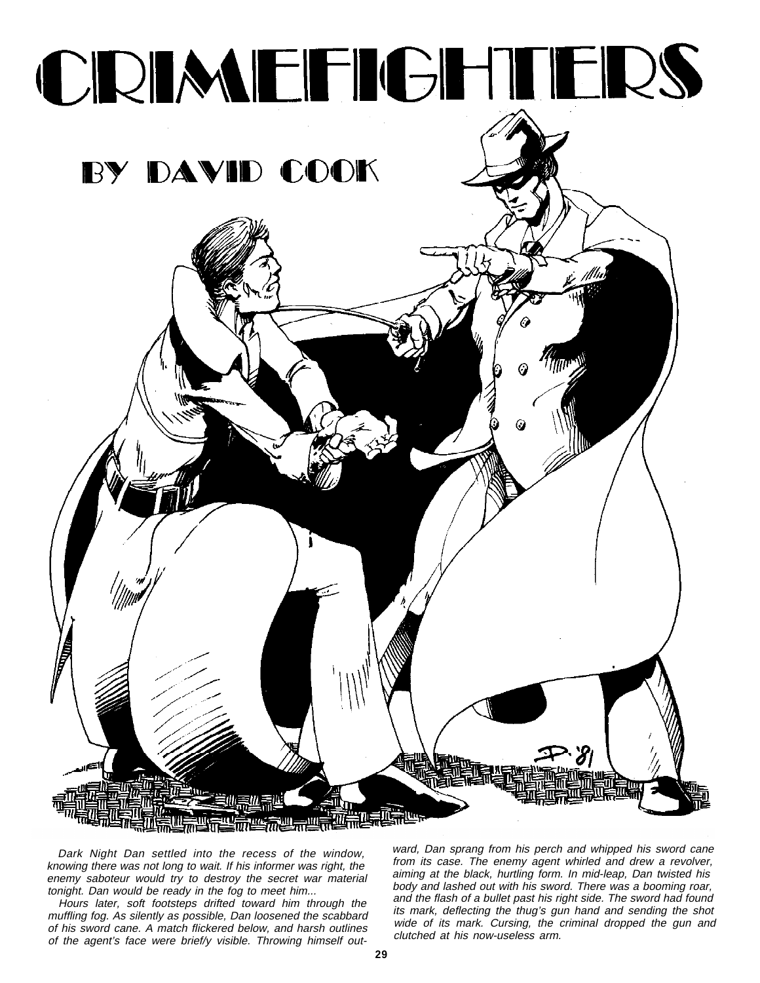

Dark Night Dan settled into the recess of the window, knowing there was not long to wait. If his informer was right, the enemy saboteur would try to destroy the secret war material tonight. Dan would be ready in the fog to meet him...

Hours later, soft footsteps drifted toward him through the muffling fog. As silently as possible, Dan loosened the scabbard of his sword cane. A match flickered below, and harsh outlines of the agent's face were brief/y visible. Throwing himself outward, Dan sprang from his perch and whipped his sword cane from its case. The enemy agent whirled and drew a revolver, aiming at the black, hurtling form. In mid-leap, Dan twisted his body and lashed out with his sword. There was a booming roar, and the flash of a bullet past his right side. The sword had found its mark, deflecting the thug's gun hand and sending the shot wide of its mark. Cursing, the criminal dropped the gun and clutched at his now-useless arm.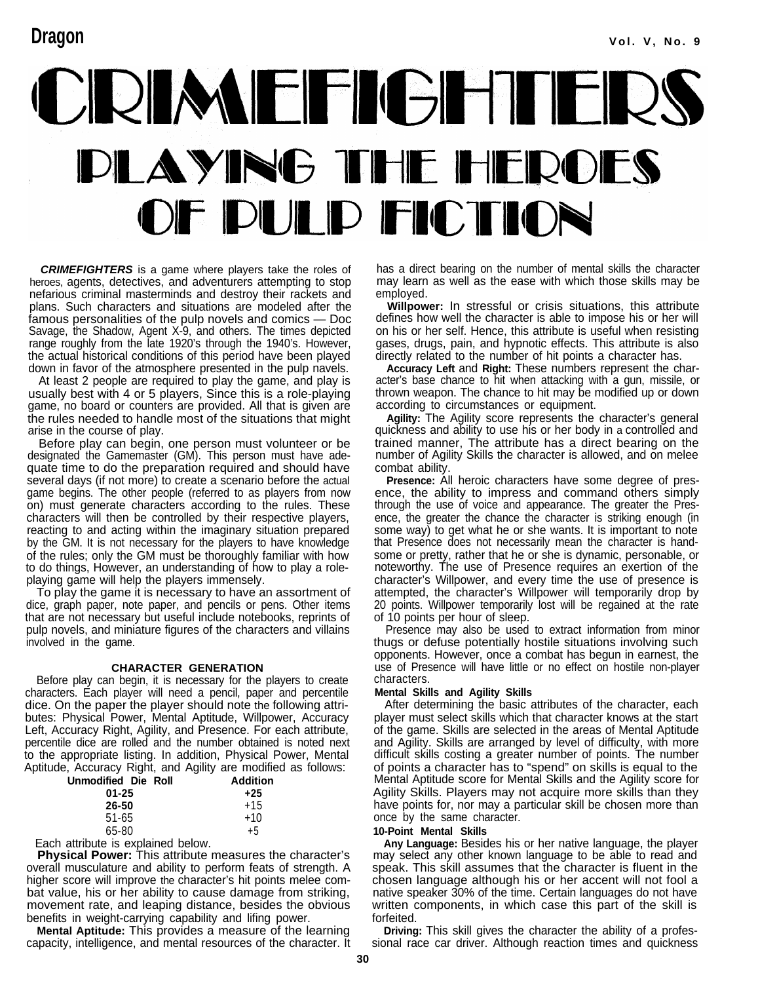# CRIMEFIGHTERS DLAYING THE HEROES OF DULD FICTION

*CRIMEFIGHTERS* is a game where players take the roles of heroes, agents, detectives, and adventurers attempting to stop nefarious criminal masterminds and destroy their rackets and plans. Such characters and situations are modeled after the famous personalities of the pulp novels and comics — Doc Savage, the Shadow, Agent X-9, and others. The times depicted range roughly from the late 1920's through the 1940's. However, the actual historical conditions of this period have been played down in favor of the atmosphere presented in the pulp navels.

At least 2 people are required to play the game, and play is usually best with 4 or 5 players, Since this is a role-playing game, no board or counters are provided. All that is given are the rules needed to handle most of the situations that might arise in the course of play.

Before play can begin, one person must volunteer or be designated the Gamemaster (GM). This person must have adequate time to do the preparation required and should have several days (if not more) to create a scenario before the actual game begins. The other people (referred to as players from now on) must generate characters according to the rules. These characters will then be controlled by their respective players, reacting to and acting within the imaginary situation prepared by the GM. It is not necessary for the players to have knowledge of the rules; only the GM must be thoroughly familiar with how to do things, However, an understanding of how to play a roleplaying game will help the players immensely.

To play the game it is necessary to have an assortment of dice, graph paper, note paper, and pencils or pens. Other items that are not necessary but useful include notebooks, reprints of pulp novels, and miniature figures of the characters and villains involved in the game.

#### **CHARACTER GENERATION**

Before play can begin, it is necessary for the players to create characters. Each player will need a pencil, paper and percentile dice. On the paper the player should note the following attributes: Physical Power, Mental Aptitude, Willpower, Accuracy Left, Accuracy Right, Agility, and Presence. For each attribute, percentile dice are rolled and the number obtained is noted next to the appropriate listing. In addition, Physical Power, Mental Aptitude, Accuracy Right, and Agility are modified as follows:

| Unmodified Die Roll | <b>Addition</b> |
|---------------------|-----------------|
| $01 - 25$           | $+25$           |
| 26-50               | $+15$           |
| $51-65$             | $+10$           |
| 65-80               | $+5$            |
|                     |                 |

Each attribute is explained below.

**Physical Power:** This attribute measures the character's overall musculature and ability to perform feats of strength. A higher score will improve the character's hit points melee combat value, his or her ability to cause damage from striking, movement rate, and leaping distance, besides the obvious benefits in weight-carrying capability and lifing power.

**Mental Aptitude:** This provides a measure of the learning capacity, intelligence, and mental resources of the character. It

has a direct bearing on the number of mental skills the character may learn as well as the ease with which those skills may be employed.

**Willpower:** In stressful or crisis situations, this attribute defines how well the character is able to impose his or her will on his or her self. Hence, this attribute is useful when resisting gases, drugs, pain, and hypnotic effects. This attribute is also directly related to the number of hit points a character has.

**Accuracy Left** and **Right:** These numbers represent the character's base chance to hit when attacking with a gun, missile, or thrown weapon. The chance to hit may be modified up or down according to circumstances or equipment.

**Agility:** The Agility score represents the character's general quickness and ability to use his or her body in a controlled and trained manner, The attribute has a direct bearing on the number of Agility Skills the character is allowed, and on melee combat ability.

**Presence:** All heroic characters have some degree of presence, the ability to impress and command others simply through the use of voice and appearance. The greater the Presence, the greater the chance the character is striking enough (in some way) to get what he or she wants. It is important to note that Presence does not necessarily mean the character is handsome or pretty, rather that he or she is dynamic, personable, or noteworthy. The use of Presence requires an exertion of the character's Willpower, and every time the use of presence is attempted, the character's Willpower will temporarily drop by 20 points. Willpower temporarily lost will be regained at the rate of 10 points per hour of sleep.

Presence may also be used to extract information from minor thugs or defuse potentially hostile situations involving such opponents. However, once a combat has begun in earnest, the use of Presence will have little or no effect on hostile non-player characters.

#### **Mental Skills and Agility Skills**

After determining the basic attributes of the character, each player must select skills which that character knows at the start of the game. Skills are selected in the areas of Mental Aptitude and Agility. Skills are arranged by level of difficulty, with more difficult skills costing a greater number of points. The number of points a character has to "spend" on skills is equal to the Mental Aptitude score for Mental Skills and the Agility score for Agility Skills. Players may not acquire more skills than they have points for, nor may a particular skill be chosen more than once by the same character.

#### **10-Point Mental Skills**

**Any Language:** Besides his or her native language, the player may select any other known language to be able to read and speak. This skill assumes that the character is fluent in the chosen language although his or her accent will not fool a native speaker 30% of the time. Certain languages do not have written components, in which case this part of the skill is forfeited.

**Driving:** This skill gives the character the ability of a professional race car driver. Although reaction times and quickness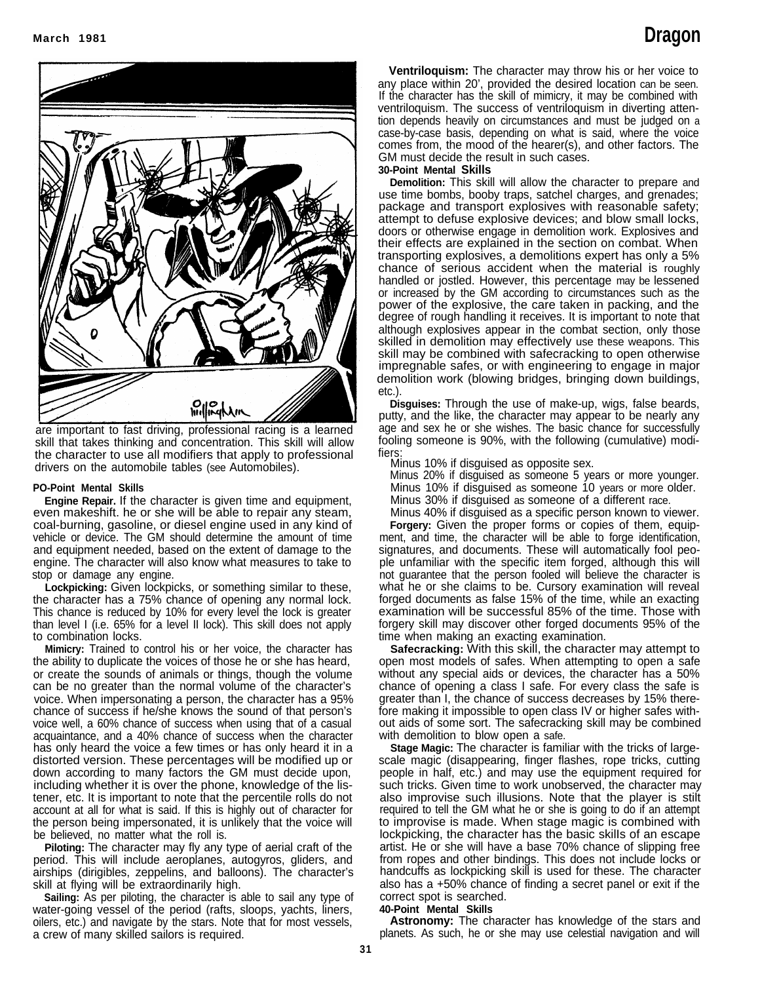

drivers on the automobile tables (see Automobiles). are important to fast driving, professional racing is a learned skill that takes thinking and concentration. This skill will allow the character to use all modifiers that apply to professional

#### **PO-Point Mental Skills**

**Engine Repair.** If the character is given time and equipment, even makeshift. he or she will be able to repair any steam, coal-burning, gasoline, or diesel engine used in any kind of vehicle or device. The GM should determine the amount of time and equipment needed, based on the extent of damage to the engine. The character will also know what measures to take to stop or damage any engine.

**Lockpicking:** Given lockpicks, or something similar to these, the character has a 75% chance of opening any normal lock. This chance is reduced by 10% for every level the lock is greater than level I (i.e. 65% for a level II lock). This skill does not apply to combination locks.

**Mimicry:** Trained to control his or her voice, the character has the ability to duplicate the voices of those he or she has heard, or create the sounds of animals or things, though the volume can be no greater than the normal volume of the character's voice. When impersonating a person, the character has a 95% chance of success if he/she knows the sound of that person's voice well, a 60% chance of success when using that of a casual acquaintance, and a 40% chance of success when the character has only heard the voice a few times or has only heard it in a distorted version. These percentages will be modified up or down according to many factors the GM must decide upon, including whether it is over the phone, knowledge of the listener, etc. It is important to note that the percentile rolls do not account at all for what is said. If this is highly out of character for the person being impersonated, it is unlikely that the voice will be believed, no matter what the roll is.

**Piloting:** The character may fly any type of aerial craft of the period. This will include aeroplanes, autogyros, gliders, and airships (dirigibles, zeppelins, and balloons). The character's skill at flying will be extraordinarily high.

**Sailing:** As per piloting, the character is able to sail any type of water-going vessel of the period (rafts, sloops, yachts, liners, oilers, etc.) and navigate by the stars. Note that for most vessels, a crew of many skilled sailors is required.

**Ventriloquism:** The character may throw his or her voice to any place within 20', provided the desired location can be seen. If the character has the skill of mimicry, it may be combined with ventriloquism. The success of ventriloquism in diverting attention depends heavily on circumstances and must be judged on a case-by-case basis, depending on what is said, where the voice comes from, the mood of the hearer(s), and other factors. The GM must decide the result in such cases.

#### **30-Point Mental Skills**

**Demolition:** This skill will allow the character to prepare and use time bombs, booby traps, satchel charges, and grenades; package and transport explosives with reasonable safety; attempt to defuse explosive devices; and blow small locks, doors or otherwise engage in demolition work. Explosives and their effects are explained in the section on combat. When transporting explosives, a demolitions expert has only a 5% chance of serious accident when the material is roughly handled or jostled. However, this percentage may be lessened or increased by the GM according to circumstances such as the power of the explosive, the care taken in packing, and the degree of rough handling it receives. It is important to note that although explosives appear in the combat section, only those skilled in demolition may effectively use these weapons. This skill may be combined with safecracking to open otherwise impregnable safes, or with engineering to engage in major demolition work (blowing bridges, bringing down buildings, etc.).

**Disguises:** Through the use of make-up, wigs, false beards, putty, and the like, the character may appear to be nearly any age and sex he or she wishes. The basic chance for successfully fooling someone is 90%, with the following (cumulative) modifiers:

Minus 10% if disguised as opposite sex.

Minus 20% if disguised as someone 5 years or more younger. Minus 10% if disguised as someone 10 years or more older. Minus 30% if disguised as someone of a different race.

Minus 40% if disguised as a specific person known to viewer. **Forgery:** Given the proper forms or copies of them, equipment, and time, the character will be able to forge identification, signatures, and documents. These will automatically fool peo-

ple unfamiliar with the specific item forged, although this will not guarantee that the person fooled will believe the character is what he or she claims to be. Cursory examination will reveal forged documents as false 15% of the time, while an exacting examination will be successful 85% of the time. Those with forgery skill may discover other forged documents 95% of the time when making an exacting examination.

**Safecracking:** With this skill, the character may attempt to open most models of safes. When attempting to open a safe without any special aids or devices, the character has a 50% chance of opening a class I safe. For every class the safe is greater than I, the chance of success decreases by 15% therefore making it impossible to open class IV or higher safes without aids of some sort. The safecracking skill may be combined with demolition to blow open a safe.

**Stage Magic:** The character is familiar with the tricks of largescale magic (disappearing, finger flashes, rope tricks, cutting people in half, etc.) and may use the equipment required for such tricks. Given time to work unobserved, the character may also improvise such illusions. Note that the player is stilt required to tell the GM what he or she is going to do if an attempt to improvise is made. When stage magic is combined with lockpicking, the character has the basic skilIs of an escape artist. He or she will have a base 70% chance of slipping free from ropes and other bindings. This does not include locks or handcuffs as lockpicking skill is used for these. The character also has a +50% chance of finding a secret panel or exit if the correct spot is searched.

#### **40-Point Mental Skills**

**Astronomy:** The character has knowledge of the stars and planets. As such, he or she may use celestial navigation and will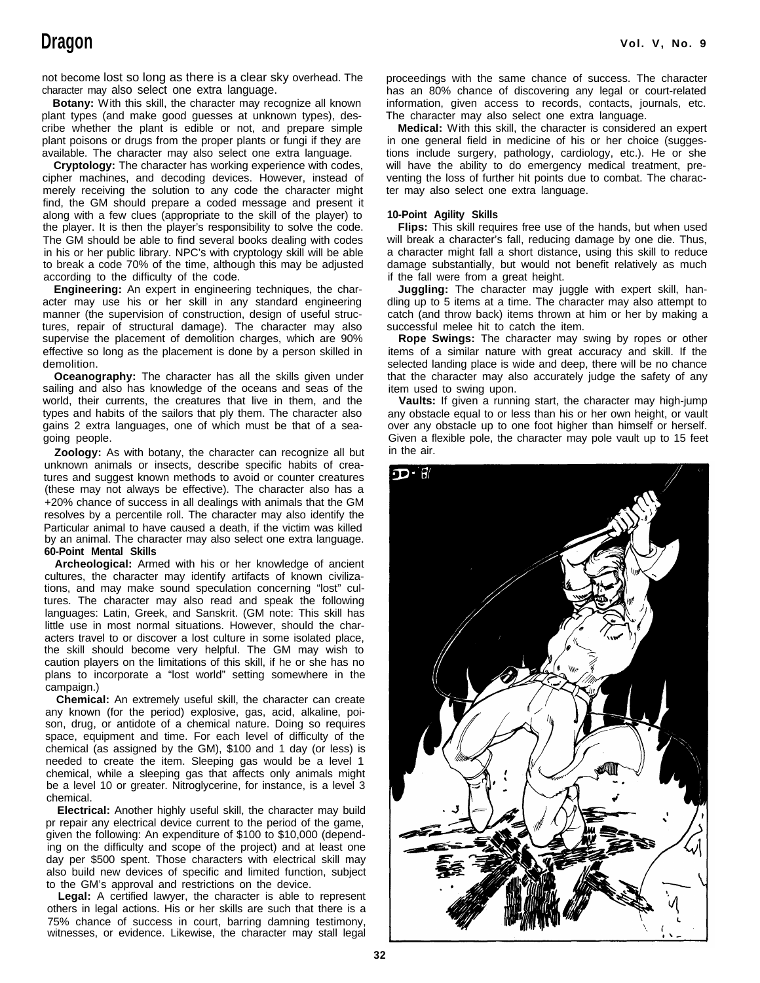not become lost so long as there is a clear sky overhead. The character may also select one extra language.

**Botany:** With this skill, the character may recognize all known plant types (and make good guesses at unknown types), describe whether the plant is edible or not, and prepare simple plant poisons or drugs from the proper plants or fungi if they are available. The character may also select one extra language.

**Cryptology:** The character has working experience with codes, cipher machines, and decoding devices. However, instead of merely receiving the solution to any code the character might find, the GM should prepare a coded message and present it along with a few clues (appropriate to the skill of the player) to the player. It is then the player's responsibility to solve the code. The GM should be able to find several books dealing with codes in his or her public library. NPC's with cryptology skill will be able to break a code 70% of the time, although this may be adjusted according to the difficulty of the code.

**Engineering:** An expert in engineering techniques, the character may use his or her skill in any standard engineering manner (the supervision of construction, design of useful structures, repair of structural damage). The character may also supervise the placement of demolition charges, which are 90% effective so long as the placement is done by a person skilled in demolition.

**Oceanography:** The character has all the skills given under sailing and also has knowledge of the oceans and seas of the world, their currents, the creatures that live in them, and the types and habits of the sailors that ply them. The character also gains 2 extra languages, one of which must be that of a seagoing people.

**Zoology:** As with botany, the character can recognize all but unknown animals or insects, describe specific habits of creatures and suggest known methods to avoid or counter creatures (these may not always be effective). The character also has a +20% chance of success in all dealings with animals that the GM resolves by a percentile roll. The character may also identify the Particular animal to have caused a death, if the victim was killed by an animal. The character may also select one extra language. **60-Point Mental Skills**

**Archeological:** Armed with his or her knowledge of ancient cultures, the character may identify artifacts of known civilizations, and may make sound speculation concerning "lost" cultures. The character may also read and speak the following languages: Latin, Greek, and Sanskrit. (GM note: This skill has little use in most normal situations. However, should the characters travel to or discover a lost culture in some isolated place, the skill should become very helpful. The GM may wish to caution players on the limitations of this skill, if he or she has no plans to incorporate a "lost world" setting somewhere in the campaign.)

**Chemical:** An extremely useful skill, the character can create any known (for the period) explosive, gas, acid, alkaline, poison, drug, or antidote of a chemical nature. Doing so requires space, equipment and time. For each level of difficulty of the chemical (as assigned by the GM), \$100 and 1 day (or less) is needed to create the item. Sleeping gas would be a level 1 chemical, while a sleeping gas that affects only animals might be a level 10 or greater. Nitroglycerine, for instance, is a level 3 chemical.

**Electrical:** Another highly useful skill, the character may build pr repair any electrical device current to the period of the game, given the following: An expenditure of \$100 to \$10,000 (depending on the difficulty and scope of the project) and at least one day per \$500 spent. Those characters with electrical skill may also build new devices of specific and limited function, subject to the GM's approval and restrictions on the device.

**Legal:** A certified lawyer, the character is able to represent others in legal actions. His or her skills are such that there is a 75% chance of success in court, barring damning testimony, witnesses, or evidence. Likewise, the character may stall legal

proceedings with the same chance of success. The character has an 80% chance of discovering any legal or court-related information, given access to records, contacts, journals, etc. The character may also select one extra language.

**Medical:** With this skill, the character is considered an expert in one general field in medicine of his or her choice (suggestions include surgery, pathology, cardiology, etc.). He or she will have the ability to do emergency medical treatment, preventing the loss of further hit points due to combat. The character may also select one extra language.

#### **10-Point Agility Skills**

**Flips:** This skill requires free use of the hands, but when used will break a character's fall, reducing damage by one die. Thus, a character might fall a short distance, using this skill to reduce damage substantially, but would not benefit relatively as much if the fall were from a great height.

**Juggling:** The character may juggle with expert skill, handling up to 5 items at a time. The character may also attempt to catch (and throw back) items thrown at him or her by making a successful melee hit to catch the item.

**Rope Swings:** The character may swing by ropes or other items of a similar nature with great accuracy and skill. If the selected landing place is wide and deep, there will be no chance that the character may also accurately judge the safety of any item used to swing upon.

**Vaults:** If given a running start, the character may high-jump any obstacle equal to or less than his or her own height, or vault over any obstacle up to one foot higher than himself or herself. Given a flexible pole, the character may pole vault up to 15 feet in the air.

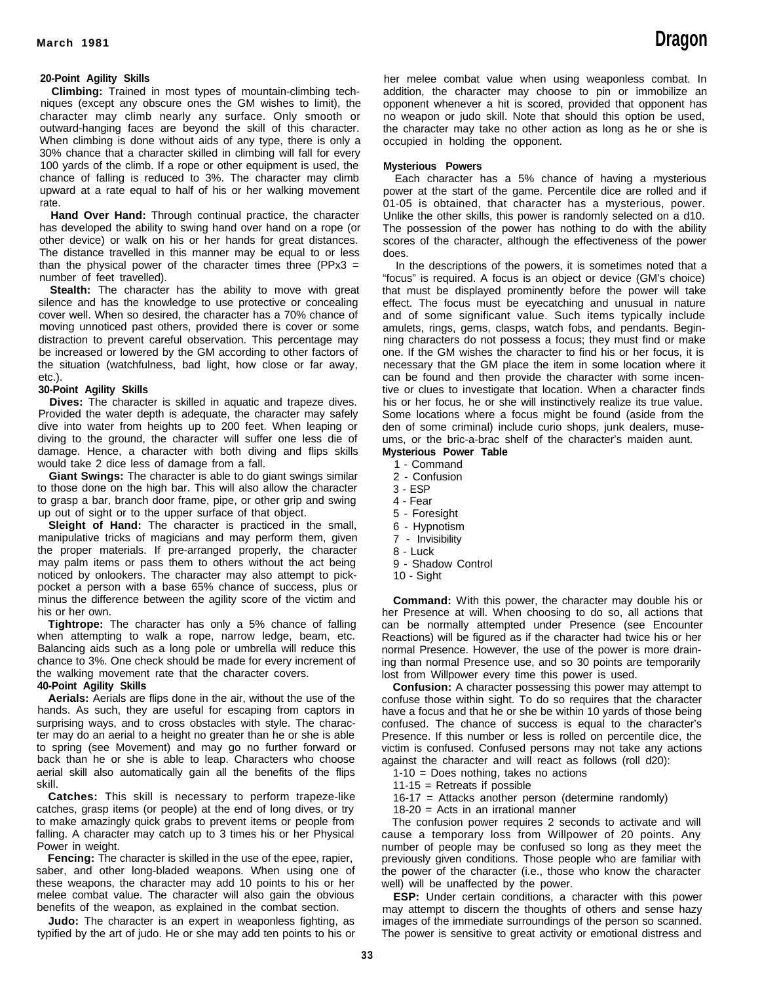#### **20-Point Agility Skills**

**Climbing:** Trained in most types of mountain-climbing techniques (except any obscure ones the GM wishes to limit), the character may climb nearly any surface. Only smooth or outward-hanging faces are beyond the skill of this character. When climbing is done without aids of any type, there is only a 30% chance that a character skilled in climbing will fall for every 100 yards of the climb. If a rope or other equipment is used, the chance of falling is reduced to 3%. The character may climb upward at a rate equal to half of his or her walking movement rate.

**Hand Over Hand:** Through continual practice, the character has developed the ability to swing hand over hand on a rope (or other device) or walk on his or her hands for great distances. The distance travelled in this manner may be equal to or less than the physical power of the character times three (PPx3  $=$ number of feet travelled).

**Stealth:** The character has the ability to move with great silence and has the knowledge to use protective or concealing cover well. When so desired, the character has a 70% chance of moving unnoticed past others, provided there is cover or some distraction to prevent careful observation. This percentage may be increased or lowered by the GM according to other factors of the situation (watchfulness, bad light, how close or far away, etc.).

#### **30-Point Agility Skills**

**Dives:** The character is skilled in aquatic and trapeze dives. Provided the water depth is adequate, the character may safely dive into water from heights up to 200 feet. When leaping or diving to the ground, the character will suffer one less die of damage. Hence, a character with both diving and flips skills would take 2 dice less of damage from a fall.

**Giant Swings:** The character is able to do giant swings similar to those done on the high bar. This will also allow the character to grasp a bar, branch door frame, pipe, or other grip and swing up out of sight or to the upper surface of that object.

**Sleight of Hand:** The character is practiced in the small, manipulative tricks of magicians and may perform them, given the proper materials. If pre-arranged properly, the character may palm items or pass them to others without the act being noticed by onlookers. The character may also attempt to pickpocket a person with a base 65% chance of success, plus or minus the difference between the agility score of the victim and his or her own.

**Tightrope:** The character has only a 5% chance of falling when attempting to walk a rope, narrow ledge, beam, etc. Balancing aids such as a long pole or umbrella will reduce this chance to 3%. One check should be made for every increment of the walking movement rate that the character covers.

#### **40-Point Agility Skills**

**Aerials:** Aerials are flips done in the air, without the use of the hands. As such, they are useful for escaping from captors in surprising ways, and to cross obstacles with style. The character may do an aerial to a height no greater than he or she is able to spring (see Movement) and may go no further forward or back than he or she is able to leap. Characters who choose aerial skill also automatically gain all the benefits of the flips skill.

**Catches:** This skill is necessary to perform trapeze-like catches, grasp items (or people) at the end of long dives, or try to make amazingly quick grabs to prevent items or people from falling. A character may catch up to 3 times his or her Physical Power in weight.

**Fencing:** The character is skilled in the use of the epee, rapier, saber, and other long-bladed weapons. When using one of these weapons, the character may add 10 points to his or her melee combat value. The character will also gain the obvious benefits of the weapon, as explained in the combat section.

**Judo:** The character is an expert in weaponless fighting, as typified by the art of judo. He or she may add ten points to his or her melee combat value when using weaponless combat. In addition, the character may choose to pin or immobilize an opponent whenever a hit is scored, provided that opponent has no weapon or judo skill. Note that should this option be used, the character may take no other action as long as he or she is occupied in holding the opponent.

#### **Mysterious Powers**

Each character has a 5% chance of having a mysterious power at the start of the game. Percentile dice are rolled and if 01-05 is obtained, that character has a mysterious, power. Unlike the other skills, this power is randomly selected on a d10. The possession of the power has nothing to do with the ability scores of the character, although the effectiveness of the power does.

In the descriptions of the powers, it is sometimes noted that a "focus" is required. A focus is an object or device (GM's choice) that must be displayed prominently before the power will take effect. The focus must be eyecatching and unusual in nature and of some significant value. Such items typically include amulets, rings, gems, clasps, watch fobs, and pendants. Beginning characters do not possess a focus; they must find or make one. If the GM wishes the character to find his or her focus, it is necessary that the GM place the item in some location where it can be found and then provide the character with some incentive or clues to investigate that location. When a character finds his or her focus, he or she will instinctively realize its true value. Some locations where a focus might be found (aside from the den of some criminal) include curio shops, junk dealers, museums, or the bric-a-brac shelf of the character's maiden aunt.

## **Mysterious Power Table**

- 1 Command
- 2 Confusion
- 3 ESP
- 4 Fear
- 5 Foresight
- 6 Hypnotism
- 7 Invisibility
- 8 Luck
- 9 Shadow Control
- 10 Sight

**Command:** With this power, the character may double his or her Presence at will. When choosing to do so, all actions that can be normally attempted under Presence (see Encounter Reactions) will be figured as if the character had twice his or her normal Presence. However, the use of the power is more draining than normal Presence use, and so 30 points are temporarily lost from Willpower every time this power is used.

**Confusion:** A character possessing this power may attempt to confuse those within sight. To do so requires that the character have a focus and that he or she be within 10 yards of those being confused. The chance of success is equal to the character's Presence. If this number or less is rolled on percentile dice, the victim is confused. Confused persons may not take any actions against the character and will react as follows (roll d20):

1-10 = Does nothing, takes no actions

11-15 = Retreats if possible

16-17 = Attacks another person (determine randomly)

18-20 = Acts in an irrational manner

The confusion power requires 2 seconds to activate and will cause a temporary loss from Willpower of 20 points. Any number of people may be confused so long as they meet the previously given conditions. Those people who are familiar with the power of the character (i.e., those who know the character well) will be unaffected by the power.

**ESP:** Under certain conditions, a character with this power may attempt to discern the thoughts of others and sense hazy images of the immediate surroundings of the person so scanned. The power is sensitive to great activity or emotional distress and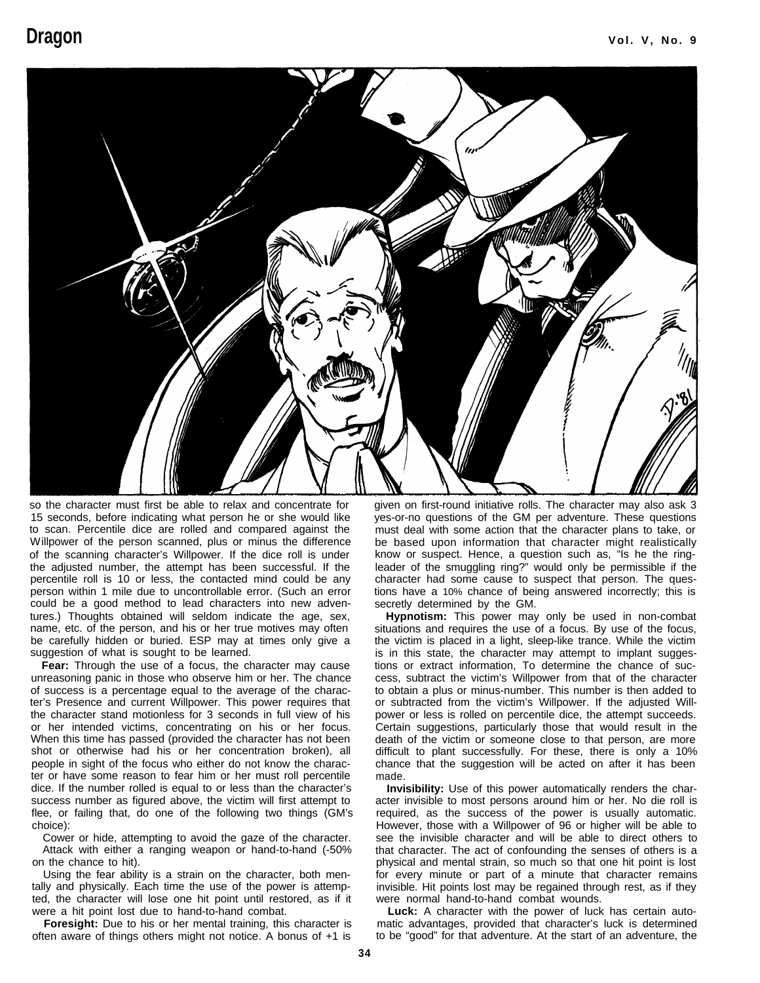

so the character must first be able to relax and concentrate for 15 seconds, before indicating what person he or she would like to scan. Percentile dice are rolled and compared against the Willpower of the person scanned, plus or minus the difference of the scanning character's Willpower. If the dice roll is under the adjusted number, the attempt has been successful. If the percentile roll is 10 or less, the contacted mind could be any person within 1 mile due to uncontrollable error. (Such an error could be a good method to lead characters into new adventures.) Thoughts obtained will seldom indicate the age, sex, name, etc. of the person, and his or her true motives may often be carefully hidden or buried. ESP may at times only give a suggestion of what is sought to be learned.

**Fear:** Through the use of a focus, the character may cause unreasoning panic in those who observe him or her. The chance of success is a percentage equal to the average of the character's Presence and current Willpower. This power requires that the character stand motionless for 3 seconds in full view of his or her intended victims, concentrating on his or her focus. When this time has passed (provided the character has not been shot or otherwise had his or her concentration broken), all people in sight of the focus who either do not know the character or have some reason to fear him or her must roll percentile dice. If the number rolled is equal to or less than the character's success number as figured above, the victim will first attempt to flee, or failing that, do one of the following two things (GM's choice):

Cower or hide, attempting to avoid the gaze of the character. Attack with either a ranging weapon or hand-to-hand (-50% on the chance to hit).

Using the fear ability is a strain on the character, both mentally and physically. Each time the use of the power is attempted, the character will lose one hit point until restored, as if it were a hit point lost due to hand-to-hand combat.

**Foresight:** Due to his or her mental training, this character is often aware of things others might not notice. A bonus of +1 is

given on first-round initiative rolls. The character may also ask 3 yes-or-no questions of the GM per adventure. These questions must deal with some action that the character plans to take, or be based upon information that character might realistically know or suspect. Hence, a question such as, "Is he the ringleader of the smuggling ring?" would only be permissible if the character had some cause to suspect that person. The questions have a 10% chance of being answered incorrectly; this is secretly determined by the GM.

**Hypnotism:** This power may only be used in non-combat situations and requires the use of a focus. By use of the focus, the victim is placed in a light, sleep-like trance. While the victim is in this state, the character may attempt to implant suggestions or extract information, To determine the chance of success, subtract the victim's Willpower from that of the character to obtain a plus or minus-number. This number is then added to or subtracted from the victim's Willpower. If the adjusted Willpower or less is rolled on percentile dice, the attempt succeeds. Certain suggestions, particularly those that would result in the death of the victim or someone close to that person, are more difficult to plant successfully. For these, there is only a 10% chance that the suggestion will be acted on after it has been made.

**Invisibility:** Use of this power automatically renders the character invisible to most persons around him or her. No die roll is required, as the success of the power is usually automatic. However, those with a Willpower of 96 or higher will be able to see the invisible character and will be able to direct others to that character. The act of confounding the senses of others is a physical and mental strain, so much so that one hit point is lost for every minute or part of a minute that character remains invisible. Hit points lost may be regained through rest, as if they were normal hand-to-hand combat wounds.

**Luck:** A character with the power of luck has certain automatic advantages, provided that character's luck is determined to be "good" for that adventure. At the start of an adventure, the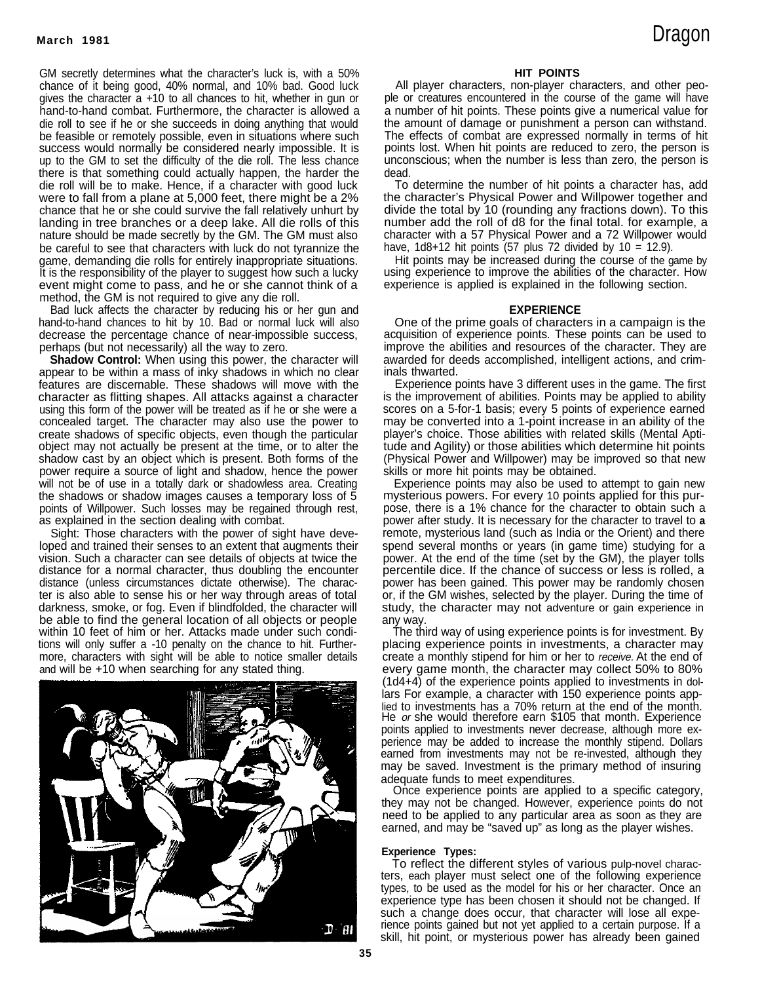GM secretly determines what the character's luck is, with a 50% chance of it being good, 40% normal, and 10% bad. Good luck gives the character a +10 to all chances to hit, whether in gun or hand-to-hand combat. Furthermore, the character is allowed a die roll to see if he or she succeeds in doing anything that would be feasible or remotely possible, even in situations where such success would normally be considered nearly impossible. It is up to the GM to set the difficulty of the die roll. The less chance there is that something could actually happen, the harder the die roll will be to make. Hence, if a character with good luck were to fall from a plane at 5,000 feet, there might be a 2% chance that he or she could survive the fall relatively unhurt by landing in tree branches or a deep lake. All die rolls of this nature should be made secretly by the GM. The GM must also be careful to see that characters with luck do not tyrannize the game, demanding die rolls for entirely inappropriate situations. It is the responsibility of the player to suggest how such a lucky event might come to pass, and he or she cannot think of a method, the GM is not required to give any die roll.

Bad luck affects the character by reducing his or her gun and hand-to-hand chances to hit by 10. Bad or normal luck will also decrease the percentage chance of near-impossible success, perhaps (but not necessarily) all the way to zero.

**Shadow Control:** When using this power, the character will appear to be within a mass of inky shadows in which no clear features are discernable. These shadows will move with the character as flitting shapes. All attacks against a character using this form of the power will be treated as if he or she were a concealed target. The character may also use the power to create shadows of specific objects, even though the particular object may not actually be present at the time, or to alter the shadow cast by an object which is present. Both forms of the power require a source of light and shadow, hence the power will not be of use in a totally dark or shadowless area. Creating the shadows or shadow images causes a temporary loss of 5 points of Willpower. Such losses may be regained through rest, as explained in the section dealing with combat.

Sight: Those characters with the power of sight have developed and trained their senses to an extent that augments their vision. Such a character can see details of objects at twice the distance for a normal character, thus doubling the encounter distance (unless circumstances dictate otherwise). The character is also able to sense his or her way through areas of total darkness, smoke, or fog. Even if blindfolded, the character will be able to find the general location of all objects or people within 10 feet of him or her. Attacks made under such conditions will only suffer a -10 penalty on the chance to hit. Furthermore, characters with sight will be able to notice smaller details and will be +10 when searching for any stated thing.



#### **HIT POlNTS**

All player characters, non-player characters, and other people or creatures encountered in the course of the game will have a number of hit points. These points give a numerical value for the amount of damage or punishment a person can withstand. The effects of combat are expressed normally in terms of hit points lost. When hit points are reduced to zero, the person is unconscious; when the number is less than zero, the person is dead.

To determine the number of hit points a character has, add the character's Physical Power and Willpower together and divide the total by 10 (rounding any fractions down). To this number add the roll of d8 for the final total. for example, a character with a 57 Physical Power and a 72 Willpower would have,  $1d8+12$  hit points (57 plus 72 divided by  $10 = 12.9$ ).

Hit points may be increased during the course of the game by using experience to improve the abilities of the character. How experience is applied is explained in the following section.

#### **EXPERIENCE**

One of the prime goals of characters in a campaign is the acquisition of experience points. These points can be used to improve the abilities and resources of the character. They are awarded for deeds accomplished, intelligent actions, and criminals thwarted.

Experience points have 3 different uses in the game. The first is the improvement of abilities. Points may be applied to ability scores on a 5-for-1 basis; every 5 points of experience earned may be converted into a 1-point increase in an ability of the player's choice. Those abilities with related skills (Mental Aptitude and Agility) or those abilities which determine hit points (Physical Power and Willpower) may be improved so that new skills or more hit points may be obtained.

Experience points may also be used to attempt to gain new mysterious powers. For every 10 points applied for this purpose, there is a 1% chance for the character to obtain such a power after study. It is necessary for the character to travel to **a** remote, mysterious land (such as India or the Orient) and there spend several months or years (in game time) studying for a power. At the end of the time (set by the GM), the player tolls percentile dice. If the chance of success or less is rolled, a power has been gained. This power may be randomly chosen or, if the GM wishes, selected by the player. During the time of study, the character may not adventure or gain experience in any way.

The third way of using experience points is for investment. By placing experience points in investments, a character may create a monthly stipend for him or her to receive. At the end of every game month, the character may collect 50% to 80%  $(1d4+4)$  of the experience points applied to investments in dollars For example, a character with 150 experience points applied to investments has a 70% return at the end of the month. He or she would therefore earn \$105 that month. Experience points applied to investments never decrease, although more experience may be added to increase the monthly stipend. Dollars earned from investments may not be re-invested, although they may be saved. Investment is the primary method of insuring adequate funds to meet expenditures.

Once experience points are applied to a specific category, they may not be changed. However, experience points do not need to be applied to any particular area as soon as they are earned, and may be "saved up" as long as the player wishes.

#### **Experience Types:**

To reflect the different styles of various pulp-novel characters, each player must select one of the following experience types, to be used as the model for his or her character. Once an experience type has been chosen it should not be changed. If such a change does occur, that character will lose all experience points gained but not yet applied to a certain purpose. If a skill, hit point, or mysterious power has already been gained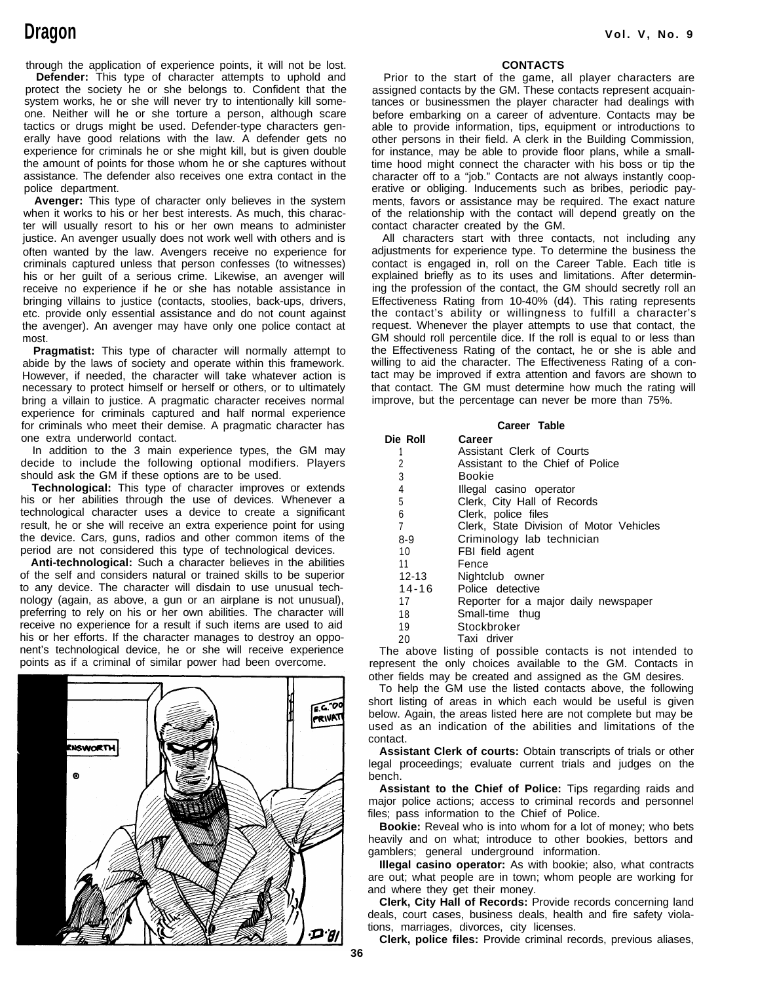# **Dragon**

through the application of experience points, it will not be lost. **Defender:** This type of character attempts to uphold and protect the society he or she belongs to. Confident that the system works, he or she will never try to intentionally kill someone. Neither will he or she torture a person, although scare tactics or drugs might be used. Defender-type characters generally have good relations with the law. A defender gets no experience for criminals he or she might kill, but is given double the amount of points for those whom he or she captures without assistance. The defender also receives one extra contact in the police department.

**Avenger:** This type of character only believes in the system when it works to his or her best interests. As much, this character will usually resort to his or her own means to administer justice. An avenger usually does not work well with others and is often wanted by the law. Avengers receive no experience for criminals captured unless that person confesses (to witnesses) his or her guilt of a serious crime. Likewise, an avenger will receive no experience if he or she has notable assistance in bringing villains to justice (contacts, stoolies, back-ups, drivers, etc. provide only essential assistance and do not count against the avenger). An avenger may have only one police contact at most.

**Pragmatist:** This type of character will normally attempt to abide by the laws of society and operate within this framework. However, if needed, the character will take whatever action is necessary to protect himself or herself or others, or to ultimately bring a villain to justice. A pragmatic character receives normal experience for criminals captured and half normal experience for criminals who meet their demise. A pragmatic character has one extra underworld contact.

In addition to the 3 main experience types, the GM may decide to include the following optional modifiers. Players should ask the GM if these options are to be used.

**Technological:** This type of character improves or extends his or her abilities through the use of devices. Whenever a technological character uses a device to create a significant result, he or she will receive an extra experience point for using the device. Cars, guns, radios and other common items of the period are not considered this type of technological devices.

**Anti-technological:** Such a character believes in the abilities of the self and considers natural or trained skills to be superior to any device. The character will disdain to use unusual technology (again, as above, a gun or an airplane is not unusual), preferring to rely on his or her own abilities. The character will receive no experience for a result if such items are used to aid his or her efforts. If the character manages to destroy an opponent's technological device, he or she will receive experience points as if a criminal of similar power had been overcome.



#### **Vol. V, No. 9**

#### **CONTACTS**

Prior to the start of the game, all player characters are assigned contacts by the GM. These contacts represent acquaintances or businessmen the player character had dealings with before embarking on a career of adventure. Contacts may be able to provide information, tips, equipment or introductions to other persons in their field. A clerk in the Building Commission, for instance, may be able to provide floor plans, while a smalltime hood might connect the character with his boss or tip the character off to a "job." Contacts are not always instantly cooperative or obliging. Inducements such as bribes, periodic payments, favors or assistance may be required. The exact nature of the relationship with the contact will depend greatly on the contact character created by the GM.

All characters start with three contacts, not including any adjustments for experience type. To determine the business the contact is engaged in, roll on the Career Table. Each title is explained briefly as to its uses and limitations. After determining the profession of the contact, the GM should secretly roll an Effectiveness Rating from 10-40% (d4). This rating represents the contact's ability or willingness to fulfill a character's request. Whenever the player attempts to use that contact, the GM should roll percentile dice. If the roll is equal to or less than the Effectiveness Rating of the contact, he or she is able and willing to aid the character. The Effectiveness Rating of a contact may be improved if extra attention and favors are shown to that contact. The GM must determine how much the rating will improve, but the percentage can never be more than 75%.

#### **Career Table**

| Die Roll  | Career                                  |
|-----------|-----------------------------------------|
|           | Assistant Clerk of Courts               |
| 2         | Assistant to the Chief of Police        |
| 3         | Bookie                                  |
| 4         | Illegal casino operator                 |
| 5         | Clerk, City Hall of Records             |
| 6         | Clerk, police files                     |
| 7         | Clerk, State Division of Motor Vehicles |
| 8-9       | Criminology lab technician              |
| 10        | FBI field agent                         |
| 11        | Fence                                   |
| 12-13     | Nightclub owner                         |
| $14 - 16$ | Police detective                        |
| 17        | Reporter for a major daily newspaper    |
| 18        | Small-time thug                         |
| 19        | Stockbroker                             |
| 20        | Taxi driver                             |
|           |                                         |

The above listing of possible contacts is not intended to represent the only choices available to the GM. Contacts in other fields may be created and assigned as the GM desires.

To help the GM use the listed contacts above, the following short listing of areas in which each would be useful is given below. Again, the areas listed here are not complete but may be used as an indication of the abilities and limitations of the contact.

**Assistant Clerk of courts:** Obtain transcripts of trials or other legal proceedings; evaluate current trials and judges on the bench.

**Assistant to the Chief of Police:** Tips regarding raids and major police actions; access to criminal records and personnel files; pass information to the Chief of Police.

**Bookie:** Reveal who is into whom for a lot of money; who bets heavily and on what; introduce to other bookies, bettors and gamblers; general underground information.

**Illegal casino operator:** As with bookie; also, what contracts are out; what people are in town; whom people are working for and where they get their money.

**Clerk, City Hall of Records:** Provide records concerning land deals, court cases, business deals, health and fire safety violations, marriages, divorces, city licenses.

**Clerk, police files:** Provide criminal records, previous aliases,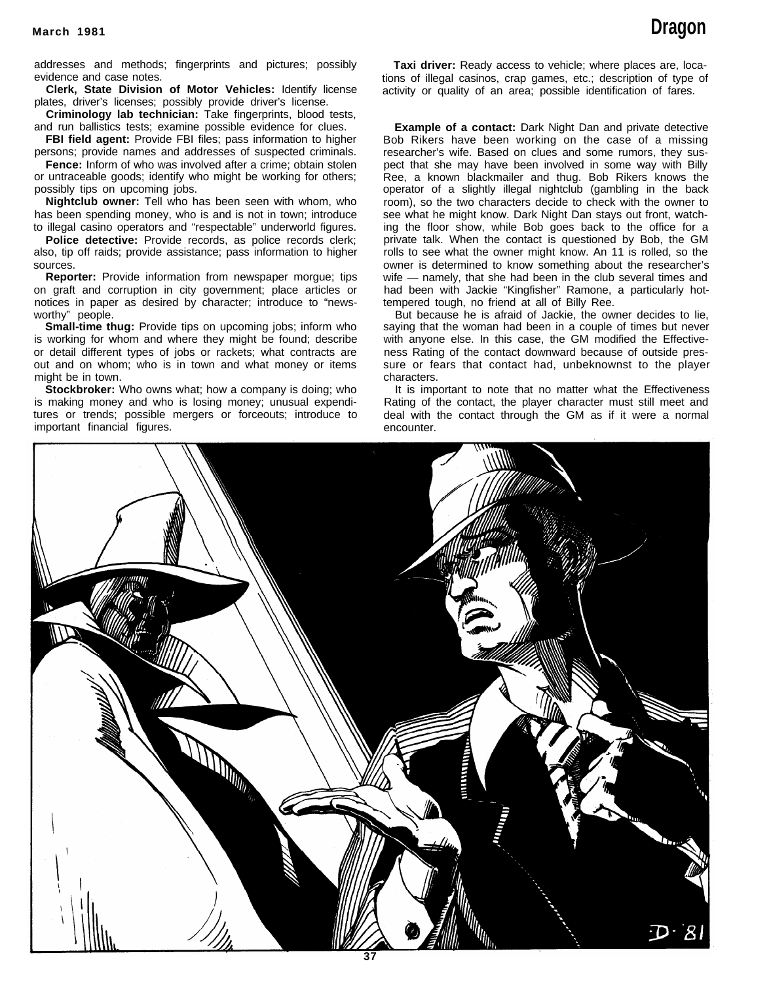addresses and methods; fingerprints and pictures; possibly evidence and case notes.

**Clerk, State Division of Motor Vehicles:** Identify license plates, driver's licenses; possibly provide driver's license.

**Criminology lab technician:** Take fingerprints, blood tests, and run ballistics tests; examine possible evidence for clues.

**FBI field agent:** Provide FBI files; pass information to higher persons; provide names and addresses of suspected criminals.

**Fence:** Inform of who was involved after a crime; obtain stolen or untraceable goods; identify who might be working for others; possibly tips on upcoming jobs.

**Nightclub owner:** Tell who has been seen with whom, who has been spending money, who is and is not in town; introduce to illegal casino operators and "respectable" underworld figures.

Police detective: Provide records, as police records clerk; also, tip off raids; provide assistance; pass information to higher sources.

**Reporter:** Provide information from newspaper morgue; tips on graft and corruption in city government; place articles or notices in paper as desired by character; introduce to "newsworthy" people.

**Small-time thug:** Provide tips on upcoming jobs; inform who is working for whom and where they might be found; describe or detail different types of jobs or rackets; what contracts are out and on whom; who is in town and what money or items might be in town.

**Stockbroker:** Who owns what; how a company is doing; who is making money and who is losing money; unusual expenditures or trends; possible mergers or forceouts; introduce to important financial figures.

**Taxi driver:** Ready access to vehicle; where places are, locations of illegal casinos, crap games, etc.; description of type of activity or quality of an area; possible identification of fares.

**Example of a contact:** Dark Night Dan and private detective Bob Rikers have been working on the case of a missing researcher's wife. Based on clues and some rumors, they suspect that she may have been involved in some way with Billy Ree, a known blackmailer and thug. Bob Rikers knows the operator of a slightly illegal nightclub (gambling in the back room), so the two characters decide to check with the owner to see what he might know. Dark Night Dan stays out front, watching the floor show, while Bob goes back to the office for a private talk. When the contact is questioned by Bob, the GM rolls to see what the owner might know. An 11 is rolled, so the owner is determined to know something about the researcher's wife — namely, that she had been in the club several times and had been with Jackie "Kingfisher" Ramone, a particularly hottempered tough, no friend at all of Billy Ree.

But because he is afraid of Jackie, the owner decides to lie, saying that the woman had been in a couple of times but never with anyone else. In this case, the GM modified the Effectiveness Rating of the contact downward because of outside pressure or fears that contact had, unbeknownst to the player characters.

It is important to note that no matter what the Effectiveness Rating of the contact, the player character must still meet and deal with the contact through the GM as if it were a normal encounter.

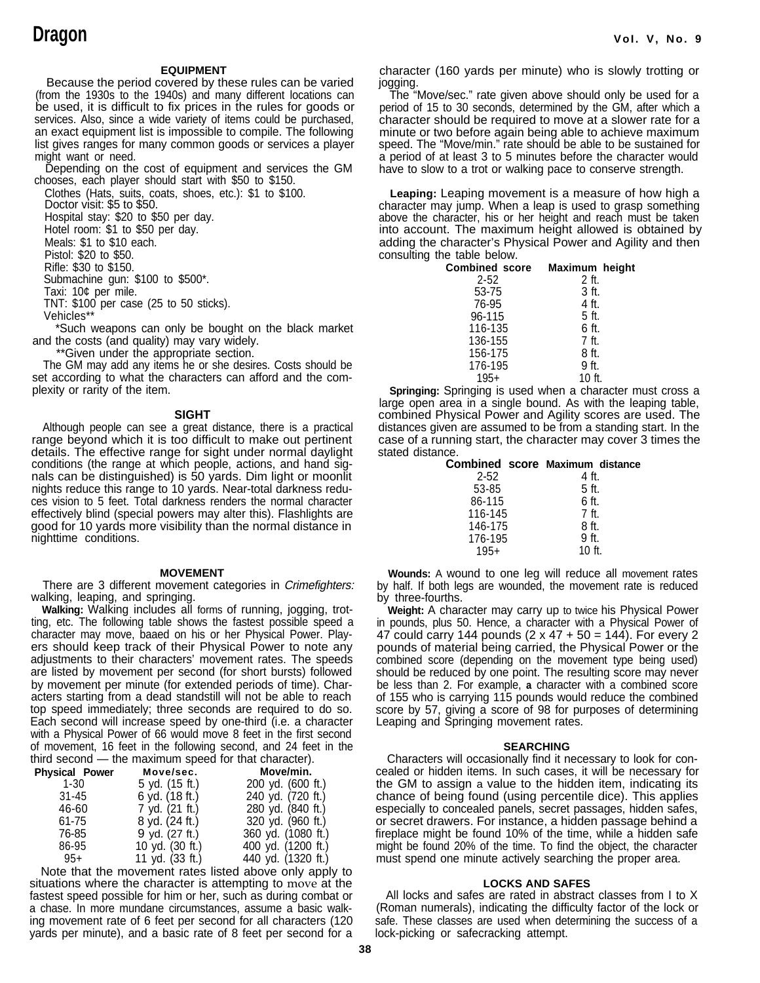#### **EQUIPMENT**

Because the period covered by these rules can be varied (from the 1930s to the 1940s) and many different locations can be used, it is difficult to fix prices in the rules for goods or services. Also, since a wide variety of items could be purchased, an exact equipment list is impossible to compile. The following list gives ranges for many common goods or services a player might want or need.

Depending on the cost of equipment and services the GM chooses, each player should start with \$50 to \$150.

Clothes (Hats, suits, coats, shoes, etc.): \$1 to \$100. Doctor visit: \$5 to \$50.

Hospital stay: \$20 to \$50 per day.

Hotel room: \$1 to \$50 per day.

Meals: \$1 to \$10 each.

Pistol: \$20 to \$50.

Rifle: \$30 to \$150.

Submachine gun: \$100 to \$500\*.

Taxi: 10¢ per mile.

TNT: \$100 per case (25 to 50 sticks).

Vehicles\*\* \*Such weapons can only be bought on the black market

and the costs (and quality) may vary widely.

\*\*Given under the appropriate section.

The GM may add any items he or she desires. Costs should be set according to what the characters can afford and the complexity or rarity of the item.

#### **SIGHT**

Although people can see a great distance, there is a practical range beyond which it is too difficult to make out pertinent details. The effective range for sight under normal daylight conditions (the range at which people, actions, and hand signals can be distinguished) is 50 yards. Dim light or moonlit nights reduce this range to 10 yards. Near-total darkness reduces vision to 5 feet. Total darkness renders the normal character effectively blind (special powers may alter this). Flashlights are good for 10 yards more visibility than the normal distance in nighttime conditions.

#### **MOVEMENT**

There are 3 different movement categories in Crimefighters: walking, leaping, and springing.

**Walking:** Walking includes all forms of running, jogging, trotting, etc. The following table shows the fastest possible speed a character may move, baaed on his or her Physical Power. Players should keep track of their Physical Power to note any adjustments to their characters' movement rates. The speeds are listed by movement per second (for short bursts) followed by movement per minute (for extended periods of time). Characters starting from a dead standstill will not be able to reach top speed immediately; three seconds are required to do so. Each second will increase speed by one-third (i.e. a character with a Physical Power of 66 would move 8 feet in the first second of movement, 16 feet in the following second, and 24 feet in the third second — the maximum speed for that character).

| <b>Physical Power</b> | Move/sec.       | Move/min.          |
|-----------------------|-----------------|--------------------|
| $1 - 30$              | 5 yd. (15 ft.)  | 200 yd. (600 ft.)  |
| $31 - 45$             | 6 yd. (18 ft.)  | 240 yd. (720 ft.)  |
| 46-60                 | 7 yd. (21 ft.)  | 280 yd. (840 ft.)  |
| 61-75                 | 8 yd. (24 ft.)  | 320 yd. (960 ft.)  |
| 76-85                 | 9 yd. (27 ft.)  | 360 yd. (1080 ft.) |
| 86-95                 | 10 yd. (30 ft.) | 400 yd. (1200 ft.) |
| $95+$                 | 11 yd. (33 ft.) | 440 yd. (1320 ft.) |
|                       |                 |                    |

Note that the movement rates listed above only apply to situations where the character is attempting to move at the fastest speed possible for him or her, such as during combat or a chase. In more mundane circumstances, assume a basic walking movement rate of 6 feet per second for all characters (120 yards per minute), and a basic rate of 8 feet per second for a

character (160 yards per minute) who is slowly trotting or jogging.

The "Move/sec." rate given above should only be used for a period of 15 to 30 seconds, determined by the GM, after which a character should be required to move at a slower rate for a minute or two before again being able to achieve maximum speed. The "Move/min." rate should be able to be sustained for a period of at least 3 to 5 minutes before the character would have to slow to a trot or walking pace to conserve strength.

**Leaping:** Leaping movement is a measure of how high a character may jump. When a leap is used to grasp something above the character, his or her height and reach must be taken into account. The maximum height allowed is obtained by adding the character's Physical Power and Agility and then consulting the table below.

| <b>Combined score</b> | Maximum height |
|-----------------------|----------------|
| $2 - 52$              | 2 ft.          |
| 53-75                 | 3 ft.          |
| 76-95                 | 4 ft.          |
| 96-115                | 5 ft.          |
| 116-135               | 6 ft.          |
| 136-155               | 7 ft.          |
| 156-175               | 8 ft.          |
| 176-195               | 9 ft.          |
| $195+$                | 10 ft.         |

**Springing:** Springing is used when a character must cross a large open area in a single bound. As with the leaping table, combined Physical Power and Agility scores are used. The distances given are assumed to be from a standing start. In the case of a running start, the character may cover 3 times the stated distance.

| Combined score Maximum distance |
|---------------------------------|
| 4 ft.                           |
| 5 ft.                           |
| 6 ft.                           |
| 7 ft.                           |
| 8 ft.                           |
| 9 ft.                           |
| $10$ ft.                        |
|                                 |

**Wounds:** A wound to one leg will reduce all movement rates by half. If both legs are wounded, the movement rate is reduced by three-fourths.

**Weight:** A character may carry up to twice his Physical Power in pounds, plus 50. Hence, a character with a Physical Power of 47 could carry 144 pounds (2 x 47 + 50 = 144). For every 2 pounds of material being carried, the Physical Power or the combined score (depending on the movement type being used) should be reduced by one point. The resulting score may never be less than 2. For example, **a** character with a combined score of 155 who is carrying 115 pounds would reduce the combined score by 57, giving a score of 98 for purposes of determining Leaping and Springing movement rates.

#### **SEARCHING**

Characters will occasionally find it necessary to look for concealed or hidden items. In such cases, it will be necessary for the GM to assign a value to the hidden item, indicating its chance of being found (using percentile dice). This applies especially to concealed panels, secret passages, hidden safes, or secret drawers. For instance, a hidden passage behind a fireplace might be found 10% of the time, while a hidden safe might be found 20% of the time. To find the object, the character must spend one minute actively searching the proper area.

#### **LOCKS AND SAFES**

All locks and safes are rated in abstract classes from I to X (Roman numerals), indicating the difficulty factor of the lock or safe. These classes are used when determining the success of a lock-picking or safecracking attempt.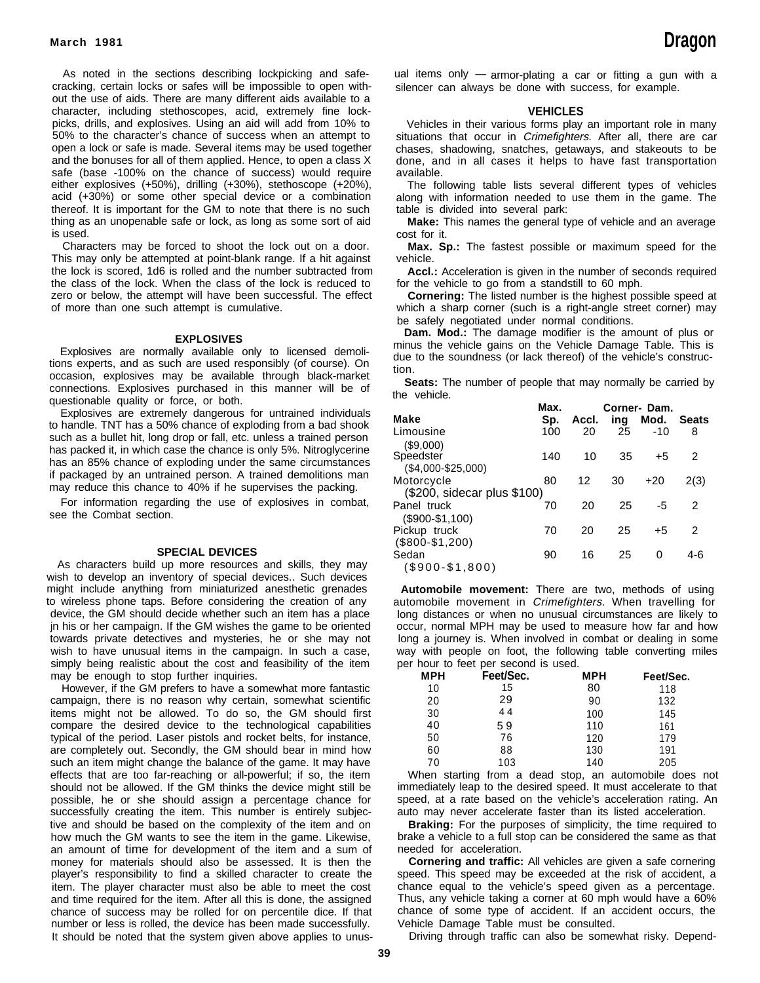As noted in the sections describing lockpicking and safe- ual items only - armor-plating a car or fitting a gun with a cracking, certain locks or safes will be impossible to open with- silencer can always be done with success, for example. out the use of aids. There are many different aids available to a character, including stethoscopes, acid, extremely fine lock- **VEHICLES** picks, drills, and explosives. Using an aid will add from 10% to Vehicles in their various forms play an important role in many 50% to the character's chance of success when an attempt to situations that occur in *Crimefighters*. After all, there are car<br>open a lock or safe is made. Several items may be used together chases, shadowing, snatches, ge open a lock or safe is made. Several items may be used together chases, shadowing, snatches, getaways, and stakeouts to be and the bonuses for all of them applied. Hence, to open a class X done, and in all cases it helps t safe (base -100% on the chance of success) would require available. either explosives (+50%), drilling (+30%), stethoscope (+20%), The following table lists several different types of vehicles thereof. It is important for the GM to note that there is no such table is divided into several park: thing as an unopenable safe or lock, as long as some sort of aid **Make:** This names the general type of vehicle and an average is used. **cost for it. is used. cost for it. cost for it.** 

This may only be attempted at point-blank range. If a hit against vehicle. the lock is scored, 1d6 is rolled and the number subtracted from **Accl.:** Acceleration is given in the number of seconds required the class of the lock. When the class of the lock is reduced to for the vehicle to go from a standstill to 60 mph. zero or below, the attempt will have been successful. The effect **Cornering:** The listed number is the highest possible speed at of more than one such attempt is cumulative. which a sharp corner (such is a right-angle street corner) may

tions experts, and as such are used responsibly (of course). On  $\frac{a}{t}$ occasion, explosives may be available through black-market<br>connections. Explosives purphased in this manner will be of Seats: The number of people that may normally be carried by connections. Explosives purchased in this manner will be of **Seats:** IT perceptions that may not perfect that may no perfect that may no perfect that may no perfect that may no perfect that may no perfect that may no perfe questionable quality or force, or both.

Explosives are extremely dangerous for untrained individuals to handle. TNT has a 50% chance of exploding from a bad shook such as a bullet hit, long drop or fall, etc. unless a trained person has packed it, in which case the chance is only 5%. Nitroglycerine has an 85% chance of exploding under the same circumstances if packaged by an untrained person. A trained demolitions man may reduce this chance to 40% if he supervises the packing.

For information regarding the use of explosives in combat, see the Combat section.

#### **SPECIAL DEVICES**

As characters build up more resources and skills, they may As characters build up more resources and skills, they may (\$900-\$1,800)<br>wish to develop an inventory of special devices.. Such devices might include anything from miniaturized anesthetic grenades **Automobile movement:** There are two, methods of using<br>to wireless phone taps. Before considering the creation of any automobile movement in *Crimefighters*. Whe device, the GM should decide whether such an item has a place jn his or her campaign. If the GM wishes the game to be oriented towards private detectives and mysteries, he or she may not wish to have unusual items in the campaign. In such a case, simply being realistic about the cost and feasibility of the item may be enough to stop further inquiries.

However, if the GM prefers to have a somewhat more fantastic campaign, there is no reason why certain, somewhat scientific items might not be allowed. To do so, the GM should first compare the desired device to the technological capabilities typical of the period. Laser pistols and rocket belts, for instance, are completely out. Secondly, the GM should bear in mind how such an item might change the balance of the game. It may have effects that are too far-reaching or all-powerful; if so, the item should not be allowed. If the GM thinks the device might still be possible, he or she should assign a percentage chance for successfully creating the item. This number is entirely subjective and should be based on the complexity of the item and on how much the GM wants to see the item in the game. Likewise, an amount of time for development of the item and a sum of money for materials should also be assessed. It is then the player's responsibility to find a skilled character to create the item. The player character must also be able to meet the cost and time required for the item. After all this is done, the assigned chance of success may be rolled for on percentile dice. If that number or less is rolled, the device has been made successfully. It should be noted that the system given above applies to unus-

done, and in all cases it helps to have fast transportation

along with information needed to use them in the game. The

Characters may be forced to shoot the lock out on a door. **Max. Sp.:** The fastest possible or maximum speed for the

be safely negotiated under normal conditions.

**EXPLOSIVES Dam. Mod.:** The damage modifier is the amount of plus or **EXPLOSIVES** Explosives are normally available only to licensed demoli-<br>Licensed demoli- minus the vehicle gains on the Vehicle Damage Table. This is<br>and particular only available on the Sunding of the soundness (or lack thereof) of th

|                             | Max. |       |     | Corner-Dam. |              |
|-----------------------------|------|-------|-----|-------------|--------------|
| Make                        | Sp.  | Accl. | ing | Mod.        | <b>Seats</b> |
| Limousine                   | 100  | 20    | 25  | $-10$       | 8            |
| (\$9,000)                   |      |       |     |             |              |
| Speedster                   | 140  | 10    | 35  | $+5$        | 2            |
| $($4,000 - $25,000)$        |      |       |     |             |              |
| Motorcycle                  | 80   | 12    | 30  | $+20$       | 2(3)         |
| (\$200, sidecar plus \$100) |      |       |     |             |              |
| Panel truck                 | 70   | 20    | 25  | -5          | 2            |
| $($900-$1,100)$             |      |       |     |             |              |
| Pickup truck                | 70   | 20    | 25  | $+5$        | 2            |
| $($800-$1,200)$             |      |       |     |             |              |
| Sedan                       | 90   | 16    | 25  | 0           | 4-6          |
|                             |      |       |     |             |              |

automobile movement in Crimefighters. When travelling for long distances or when no unusual circumstances are likely to occur, normal MPH may be used to measure how far and how long a journey is. When involved in combat or dealing in some way with people on foot, the following table converting miles per hour to feet per second is used.

| MPH | Feet/Sec. | <b>MPH</b> | Feet/Sec. |
|-----|-----------|------------|-----------|
| 10  | 15        | 80         | 118       |
| 20  | 29        | 90         | 132       |
| 30  | 44        | 100        | 145       |
| 40  | 59        | 110        | 161       |
| 50  | 76        | 120        | 179       |
| 60  | 88        | 130        | 191       |
| 70  | 103       | 140        | 205       |

When starting from a dead stop, an automobile does not immediately leap to the desired speed. It must accelerate to that speed, at a rate based on the vehicle's acceleration rating. An auto may never accelerate faster than its listed acceleration.

**Braking:** For the purposes of simplicity, the time required to brake a vehicle to a full stop can be considered the same as that needed for acceleration.

**Cornering and traffic:** All vehicles are given a safe cornering speed. This speed may be exceeded at the risk of accident, a chance equal to the vehicle's speed given as a percentage. Thus, any vehicle taking a corner at 60 mph would have a 60% chance of some type of accident. If an accident occurs, the Vehicle Damage Table must be consulted.

Driving through traffic can also be somewhat risky. Depend-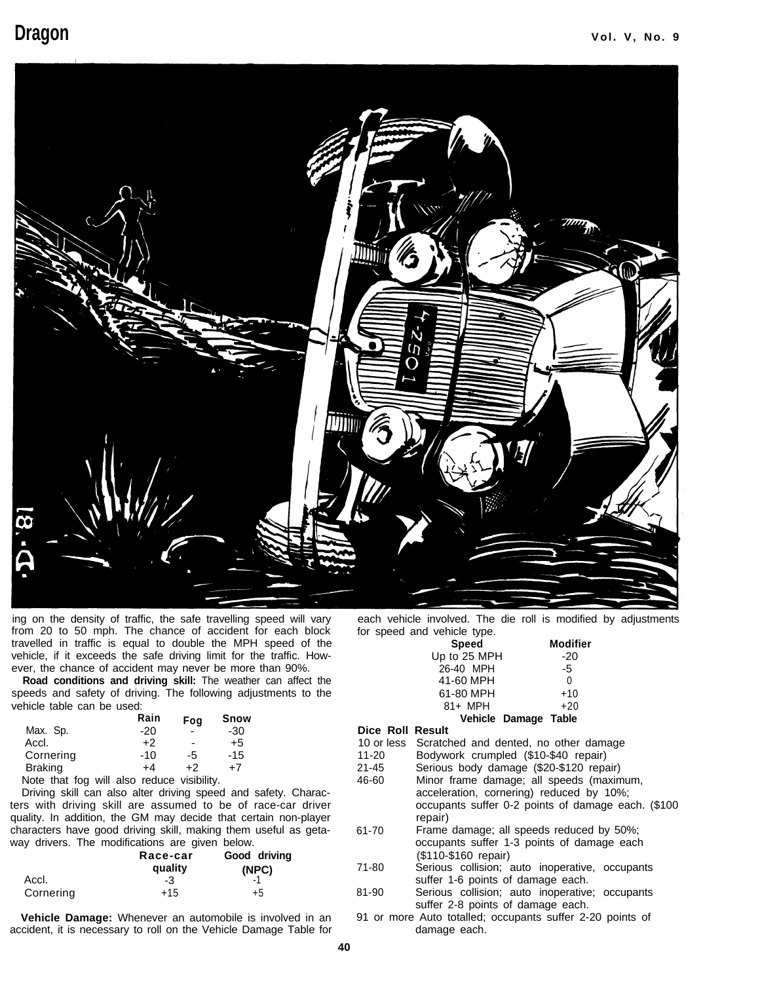

ing on the density of traffic, the safe travelling speed will vary from 20 to 50 mph. The chance of accident for each block travelled in traffic is equal to double the MPH speed of the vehicle, if it exceeds the safe driving limit for the traffic. However, the chance of accident may never be more than 90%.

**Road conditions and driving skill:** The weather can affect the speeds and safety of driving. The following adjustments to the vehicle table can be used:

|                                                   | Rain | Fog            | Snow  |
|---------------------------------------------------|------|----------------|-------|
| Max. Sp.                                          | -20  |                | -30   |
| Accl.                                             | +2   | $\blacksquare$ | +5    |
| Cornering                                         | -10  | -5             | $-15$ |
| Braking                                           | +4   | +2             | +7    |
| بيانا والمستور ومرباومس ومام النبرد وملاءمه عماما |      |                |       |

Note that fog will also reduce visibility.

Driving skill can also alter driving speed and safety. Characters with driving skill are assumed to be of race-car driver quality. In addition, the GM may decide that certain non-player characters have good driving skill, making them useful as getaway drivers. The modifications are given below.

|           | Race-car<br>quality | Good driving<br>(NPC) |
|-----------|---------------------|-----------------------|
| Accl.     | -3                  |                       |
| Cornering | $+15$               | +5                    |

**Vehicle Damage:** Whenever an automobile is involved in an accident, it is necessary to roll on the Vehicle Damage Table for

each vehicle involved. The die roll is modified by adjustments for speed and vehicle type.

| u vunuu iypu. |                      |
|---------------|----------------------|
| <b>Speed</b>  | Modifier             |
| Up to 25 MPH  | $-20$                |
| 26-40 MPH     | -5                   |
| 41-60 MPH     | U                    |
| 61-80 MPH     | $+10$                |
| 81+ MPH       | $+20$                |
|               | Vehicle Damage Table |
|               |                      |

## **Dice Roll Result**

|  | 10 or less Scratched and dented, no other damage |  |  |  |  |  |
|--|--------------------------------------------------|--|--|--|--|--|
|--|--------------------------------------------------|--|--|--|--|--|

- 
- 11-20 Bodywork crumpled (\$10-\$40 repair) Serious body damage (\$20-\$120 repair)
- 46-60 Minor frame damage; all speeds (maximum, acceleration, cornering) reduced by 10%; occupants suffer 0-2 points of damage each. (\$100 repair)
- 61-70 Frame damage; all speeds reduced by 50%; occupants suffer 1-3 points of damage each (\$110-\$160 repair)
- 71-80 Serious collision; auto inoperative, occupants suffer 1-6 points of damage each.
- 81-90 Serious collision; auto inoperative; occupants suffer 2-8 points of damage each.
- 91 or more Auto totalled; occupants suffer 2-20 points of damage each.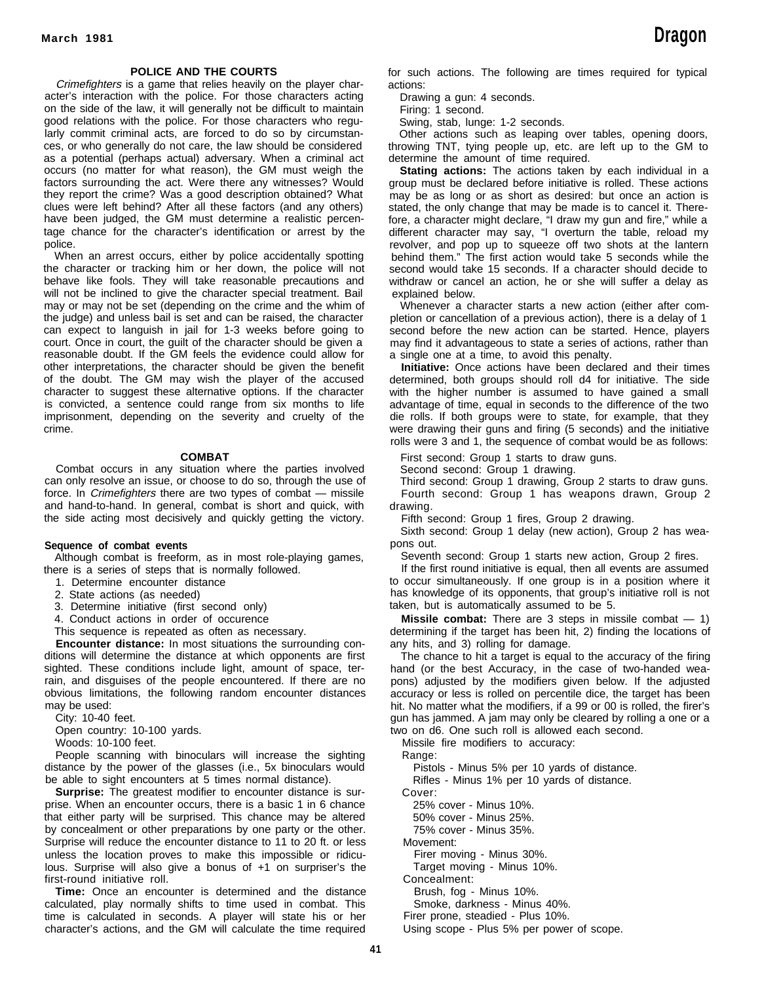#### **POLICE AND THE COURTS**

Crimefighters is a game that relies heavily on the player character's interaction with the police. For those characters acting on the side of the law, it will generally not be difficult to maintain good relations with the police. For those characters who regularly commit criminal acts, are forced to do so by circumstances, or who generally do not care, the law should be considered as a potential (perhaps actual) adversary. When a criminal act occurs (no matter for what reason), the GM must weigh the factors surrounding the act. Were there any witnesses? Would they report the crime? Was a good description obtained? What clues were left behind? After all these factors (and any others) have been judged, the GM must determine a realistic percentage chance for the character's identification or arrest by the police.

When an arrest occurs, either by police accidentally spotting the character or tracking him or her down, the police will not behave like fools. They will take reasonable precautions and will not be inclined to give the character special treatment. Bail may or may not be set (depending on the crime and the whim of the judge) and unless bail is set and can be raised, the character can expect to languish in jail for 1-3 weeks before going to court. Once in court, the guilt of the character should be given a reasonable doubt. If the GM feels the evidence could allow for other interpretations, the character should be given the benefit of the doubt. The GM may wish the player of the accused character to suggest these alternative options. If the character is convicted, a sentence could range from six months to life imprisonment, depending on the severity and cruelty of the crime.

#### **COMBAT**

Combat occurs in any situation where the parties involved can only resolve an issue, or choose to do so, through the use of force. In Crimefighters there are two types of combat — missile and hand-to-hand. In general, combat is short and quick, with the side acting most decisively and quickly getting the victory.

#### **Sequence of combat events**

Although combat is freeform, as in most role-playing games, there is a series of steps that is normally followed.

- 1. Determine encounter distance
- 2. State actions (as needed)
- 3. Determine initiative (first second only)
- 4. Conduct actions in order of occurence
- This sequence is repeated as often as necessary.

**Encounter distance:** In most situations the surrounding conditions will determine the distance at which opponents are first sighted. These conditions include light, amount of space, terrain, and disguises of the people encountered. If there are no obvious limitations, the following random encounter distances may be used:

City: 10-40 feet.

Open country: 10-100 yards.

Woods: 10-100 feet.

People scanning with binoculars will increase the sighting distance by the power of the glasses (i.e., 5x binoculars would be able to sight encounters at 5 times normal distance).

**Surprise:** The greatest modifier to encounter distance is surprise. When an encounter occurs, there is a basic 1 in 6 chance that either party will be surprised. This chance may be altered by concealment or other preparations by one party or the other. Surprise will reduce the encounter distance to 11 to 20 ft. or less unless the location proves to make this impossible or ridiculous. Surprise will also give a bonus of +1 on surpriser's the first-round initiative roll.

**Time:** Once an encounter is determined and the distance calculated, play normally shifts to time used in combat. This time is calculated in seconds. A player will state his or her character's actions, and the GM will calculate the time required

for such actions. The following are times required for typical actions:

Drawing a gun: 4 seconds.

Firing: 1 second.

Swing, stab, lunge: 1-2 seconds.

Other actions such as leaping over tables, opening doors, throwing TNT, tying people up, etc. are left up to the GM to determine the amount of time required.

**Stating actions:** The actions taken by each individual in a group must be declared before initiative is rolled. These actions may be as long or as short as desired: but once an action is stated, the only change that may be made is to cancel it. Therefore, a character might declare, "I draw my gun and fire," while a different character may say, "I overturn the table, reload my revolver, and pop up to squeeze off two shots at the lantern behind them." The first action would take 5 seconds while the second would take 15 seconds. If a character should decide to withdraw or cancel an action, he or she will suffer a delay as explained below.

Whenever a character starts a new action (either after completion or cancellation of a previous action), there is a delay of 1 second before the new action can be started. Hence, players may find it advantageous to state a series of actions, rather than a single one at a time, to avoid this penalty.

**Initiative:** Once actions have been declared and their times determined, both groups should roll d4 for initiative. The side with the higher number is assumed to have gained a small advantage of time, equal in seconds to the difference of the two die rolls. If both groups were to state, for example, that they were drawing their guns and firing (5 seconds) and the initiative rolls were 3 and 1, the sequence of combat would be as follows:

First second: Group 1 starts to draw guns.

Second second: Group 1 drawing.

Third second: Group 1 drawing, Group 2 starts to draw guns. Fourth second: Group 1 has weapons drawn, Group 2

drawing.

Fifth second: Group 1 fires, Group 2 drawing.

Sixth second: Group 1 delay (new action), Group 2 has weapons out.

Seventh second: Group 1 starts new action, Group 2 fires.

If the first round initiative is equal, then all events are assumed to occur simultaneously. If one group is in a position where it has knowledge of its opponents, that group's initiative roll is not taken, but is automatically assumed to be 5.

**Missile combat:** There are 3 steps in missile combat — 1) determining if the target has been hit, 2) finding the locations of any hits, and 3) rolling for damage.

The chance to hit a target is equal to the accuracy of the firing hand (or the best Accuracy, in the case of two-handed weapons) adjusted by the modifiers given below. If the adjusted accuracy or less is rolled on percentile dice, the target has been hit. No matter what the modifiers, if a 99 or 00 is rolled, the firer's gun has jammed. A jam may only be cleared by rolling a one or a two on d6. One such roll is allowed each second.

Missile fire modifiers to accuracy:

Range:

Pistols - Minus 5% per 10 yards of distance.

Rifles - Minus 1% per 10 yards of distance.

Cover: 25% cover - Minus 10%.

50% cover - Minus 25%.

75% cover - Minus 35%.

Movement:

Firer moving - Minus 30%.

Target moving - Minus 10%.

Concealment:

Brush, fog - Minus 10%.

Smoke, darkness - Minus 40%.

Firer prone, steadied - Plus 10%.

Using scope - Plus 5% per power of scope.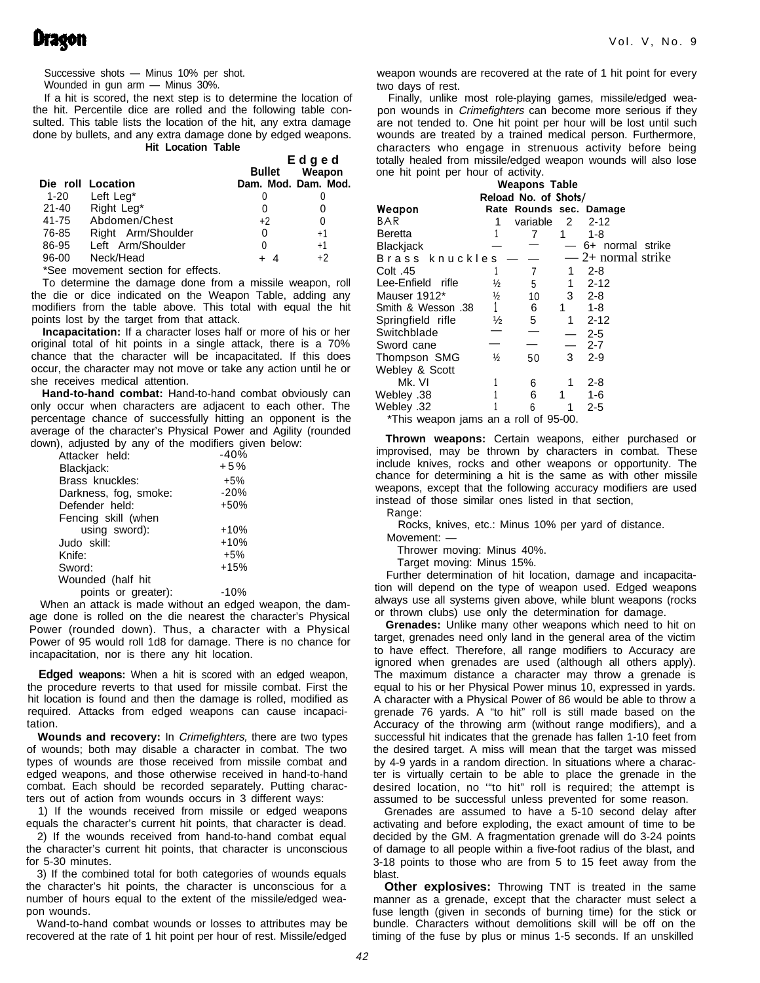## **Dragon**

Successive shots — Minus 10% per shot.

Wounded in gun arm — Minus 30%.

If a hit is scored, the next step is to determine the location of the hit. Percentile dice are rolled and the following table consulted. This table lists the location of the hit, any extra damage done by bullets, and any extra damage done by edged weapons. **Hit Location Table**

|       |                                                         | Edged  |                     |  |
|-------|---------------------------------------------------------|--------|---------------------|--|
|       |                                                         | Bullet | Weapon              |  |
|       | Die roll Location                                       |        | Dam. Mod. Dam. Mod. |  |
|       | 1-20 Left Leg <sup>*</sup>                              |        |                     |  |
| 21-40 | Right Leg*                                              |        |                     |  |
| 41-75 | Abdomen/Chest                                           | $+2$   | 0                   |  |
| 76-85 | Right Arm/Shoulder                                      | 0      | $+1$                |  |
| 86-95 | Left Arm/Shoulder                                       | 0      | $+1$                |  |
| 96-00 | Neck/Head                                               | -4     | $+2$                |  |
|       | $\sim$ $\sim$ $\sim$ $\sim$ $\sim$ $\sim$ $\sim$ $\sim$ |        |                     |  |

\*See movement section for effects.

To determine the damage done from a missile weapon, roll the die or dice indicated on the Weapon Table, adding any modifiers from the table above. This total with equal the hit points lost by the target from that attack.

**Incapacitation:** If a character loses half or more of his or her original total of hit points in a single attack, there is a 70% chance that the character will be incapacitated. If this does occur, the character may not move or take any action until he or she receives medical attention.

**Hand-to-hand combat:** Hand-to-hand combat obviously can only occur when characters are adjacent to each other. The percentage chance of successfully hitting an opponent is the average of the character's Physical Power and Agility (rounded down), adjusted by any of the modifiers given below:

| Attacker held:        | $-40%$ |
|-----------------------|--------|
| Blackjack:            | $+5%$  |
| Brass knuckles:       | $+5%$  |
| Darkness, fog, smoke: | $-20%$ |
| Defender held:        | +50%   |
| Fencing skill (when   |        |
| using sword):         | $+10%$ |
| Judo skill:           | $+10%$ |
| Knife:                | $+5%$  |
| Sword:                | $+15%$ |
| Wounded (half hit     |        |
| points or greater):   | -10%   |

When an attack is made without an edged weapon, the damage done is rolled on the die nearest the character's Physical Power (rounded down). Thus, a character with a Physical Power of 95 would roll 1d8 for damage. There is no chance for incapacitation, nor is there any hit location.

**Edged weapons:** When a hit is scored with an edged weapon, the procedure reverts to that used for missile combat. First the hit location is found and then the damage is rolled, modified as required. Attacks from edged weapons can cause incapacitation.

**Wounds and recovery:** In Crimefighters, there are two types of wounds; both may disable a character in combat. The two types of wounds are those received from missile combat and edged weapons, and those otherwise received in hand-to-hand combat. Each should be recorded separately. Putting characters out of action from wounds occurs in 3 different ways:

1) If the wounds received from missile or edged weapons equals the character's current hit points, that character is dead.

2) If the wounds received from hand-to-hand combat equal the character's current hit points, that character is unconscious for 5-30 minutes.

3) If the combined total for both categories of wounds equals the character's hit points, the character is unconscious for a number of hours equal to the extent of the missile/edged weapon wounds.

Wand-to-hand combat wounds or losses to attributes may be recovered at the rate of 1 hit point per hour of rest. Missile/edged

weapon wounds are recovered at the rate of 1 hit point for every two days of rest.

Finally, unlike most role-playing games, missile/edged weapon wounds in Crimefighters can become more serious if they are not tended to. One hit point per hour will be lost until such wounds are treated by a trained medical person. Furthermore, characters who engage in strenuous activity before being totally healed from missile/edged weapon wounds will also lose one hit point per hour of activity.

| Weapons Table                         |               |                          |                |                         |  |  |
|---------------------------------------|---------------|--------------------------|----------------|-------------------------|--|--|
| Reload No. of Shots/                  |               |                          |                |                         |  |  |
| Weapon                                |               |                          |                | Rate Rounds sec. Damage |  |  |
| BAR                                   |               | variable                 | $\overline{2}$ | $2 - 12$                |  |  |
| Beretta                               |               | 7                        | 1              | 1-8                     |  |  |
| Blackjack                             |               |                          |                | 6+ normal strike        |  |  |
| Brass knuckles                        |               |                          |                | $-2$ + normal strike    |  |  |
| 45. Colt                              |               | 7                        | 1              | $2 - 8$                 |  |  |
| Lee-Enfield rifle                     | ⅓             | 5                        | 1              | $2 - 12$                |  |  |
| Mauser 1912*                          | ⅓             | 10                       | 3              | $2 - 8$                 |  |  |
| 38. Smith & Wesson                    |               | 6                        | 1              | $1 - 8$                 |  |  |
| Springfield rifle                     | ½             | 5                        | 1              | $2 - 12$                |  |  |
| Switchblade                           |               | $\overline{\phantom{0}}$ |                | $2 - 5$                 |  |  |
| Sword cane                            |               |                          |                | $2 - 7$                 |  |  |
| Thompson SMG                          | $\frac{1}{2}$ | 50                       | 3              | 2-9                     |  |  |
| Webley & Scott                        |               |                          |                |                         |  |  |
| Mk. VI                                |               | 6                        | 1              | $2 - 8$                 |  |  |
| 38. Webley                            |               | 6                        | 1              | 1-6                     |  |  |
| 32. Webley                            |               | 6                        | 1              | 2-5                     |  |  |
| *This weapon jams an a roll of 95-00. |               |                          |                |                         |  |  |

**Thrown weapons:** Certain weapons, either purchased or improvised, may be thrown by characters in combat. These include knives, rocks and other weapons or opportunity. The chance for determining a hit is the same as with other missile weapons, except that the following accuracy modifiers are used instead of those similar ones listed in that section, Range:

Rocks, knives, etc.: Minus 10% per yard of distance.

Movement: —

Thrower moving: Minus 40%.

Target moving: Minus 15%.

Further determination of hit location, damage and incapacitation will depend on the type of weapon used. Edged weapons always use all systems given above, while blunt weapons (rocks or thrown clubs) use only the determination for damage.

**Grenades:** Unlike many other weapons which need to hit on target, grenades need only land in the general area of the victim to have effect. Therefore, all range modifiers to Accuracy are ignored when grenades are used (although alI others apply). The maximum distance a character may throw a grenade is equal to his or her Physical Power minus 10, expressed in yards. A character with a Physical Power of 86 would be able to throw a grenade 76 yards. A "to hit" roll is still made based on the Accuracy of the throwing arm (without range modifiers), and a successful hit indicates that the grenade has fallen 1-10 feet from the desired target. A miss will mean that the target was missed by 4-9 yards in a random direction. ln situations where a character is virtually certain to be able to place the grenade in the desired location, no '"to hit" roll is required; the attempt is assumed to be successful unless prevented for some reason.

Grenades are assumed to have a 5-10 second delay after activating and before exploding, the exact amount of time to be decided by the GM. A fragmentation grenade will do 3-24 points of damage to all people within a five-foot radius of the blast, and 3-18 points to those who are from 5 to 15 feet away from the blast.

**Other explosives:** Throwing TNT is treated in the same manner as a grenade, except that the character must select a fuse length (given in seconds of burning time) for the stick or bundle. Characters without demolitions skill will be off on the timing of the fuse by plus or minus 1-5 seconds. If an unskilled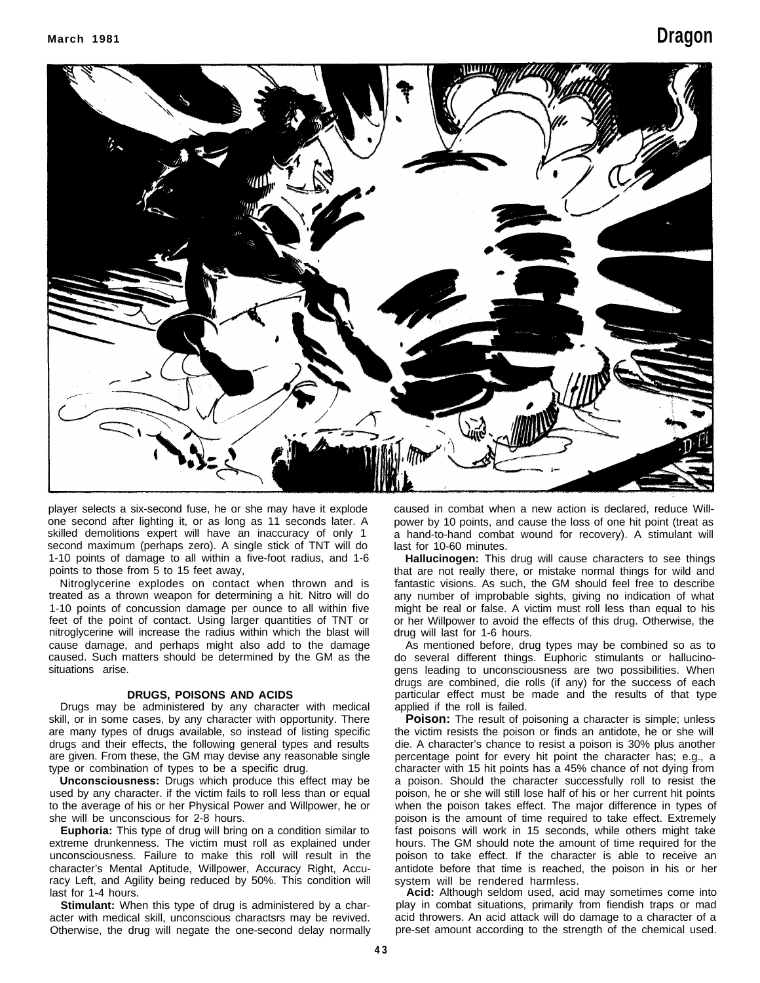

player selects a six-second fuse, he or she may have it explode one second after lighting it, or as long as 11 seconds later. A skilled demolitions expert will have an inaccuracy of only 1 second maximum (perhaps zero). A single stick of TNT will do 1-10 points of damage to all within a five-foot radius, and 1-6 points to those from 5 to 15 feet away,

Nitroglycerine explodes on contact when thrown and is treated as a thrown weapon for determining a hit. Nitro will do 1-10 points of concussion damage per ounce to all within five feet of the point of contact. Using larger quantities of TNT or nitroglycerine will increase the radius within which the blast will cause damage, and perhaps might also add to the damage caused. Such matters should be determined by the GM as the situations arise.

#### **DRUGS, POISONS AND ACIDS**

Drugs may be administered by any character with medical skill, or in some cases, by any character with opportunity. There are many types of drugs available, so instead of listing specific drugs and their effects, the following general types and results are given. From these, the GM may devise any reasonable single type or combination of types to be a specific drug.

**Unconsciousness:** Drugs which produce this effect may be used by any character. if the victim fails to roll less than or equal to the average of his or her Physical Power and Willpower, he or she will be unconscious for 2-8 hours.

**Euphoria:** This type of drug will bring on a condition similar to extreme drunkenness. The victim must roll as explained under unconsciousness. Failure to make this roll will result in the character's Mental Aptitude, Willpower, Accuracy Right, Accuracy Left, and Agility being reduced by 50%. This condition will last for 1-4 hours.

**Stimulant:** When this type of drug is administered by a character with medical skill, unconscious charactsrs may be revived. Otherwise, the drug will negate the one-second delay normally

caused in combat when a new action is declared, reduce Willpower by 10 points, and cause the loss of one hit point (treat as a hand-to-hand combat wound for recovery). A stimulant will last for 10-60 minutes.

**Hallucinogen:** This drug will cause characters to see things that are not really there, or mistake normal things for wild and fantastic visions. As such, the GM should feel free to describe any number of improbable sights, giving no indication of what might be real or false. A victim must roll less than equal to his or her Willpower to avoid the effects of this drug. Otherwise, the drug will last for 1-6 hours.

As mentioned before, drug types may be combined so as to do several different things. Euphoric stimulants or hallucinogens leading to unconsciousness are two possibilities. When drugs are combined, die rolls (if any) for the success of each particular effect must be made and the results of that type applied if the roll is failed.

**Poison:** The result of poisoning a character is simple; unless the victim resists the poison or finds an antidote, he or she will die. A character's chance to resist a poison is 30% plus another percentage point for every hit point the character has; e.g., a character with 15 hit points has a 45% chance of not dying from a poison. Should the character successfully roll to resist the poison, he or she will still lose half of his or her current hit points when the poison takes effect. The major difference in types of poison is the amount of time required to take effect. Extremely fast poisons will work in 15 seconds, while others might take hours. The GM should note the amount of time required for the poison to take effect. If the character is able to receive an antidote before that time is reached, the poison in his or her system will be rendered harmless.

**Acid:** Although seldom used, acid may sometimes come into play in combat situations, primarily from fiendish traps or mad acid throwers. An acid attack will do damage to a character of a pre-set amount according to the strength of the chemical used.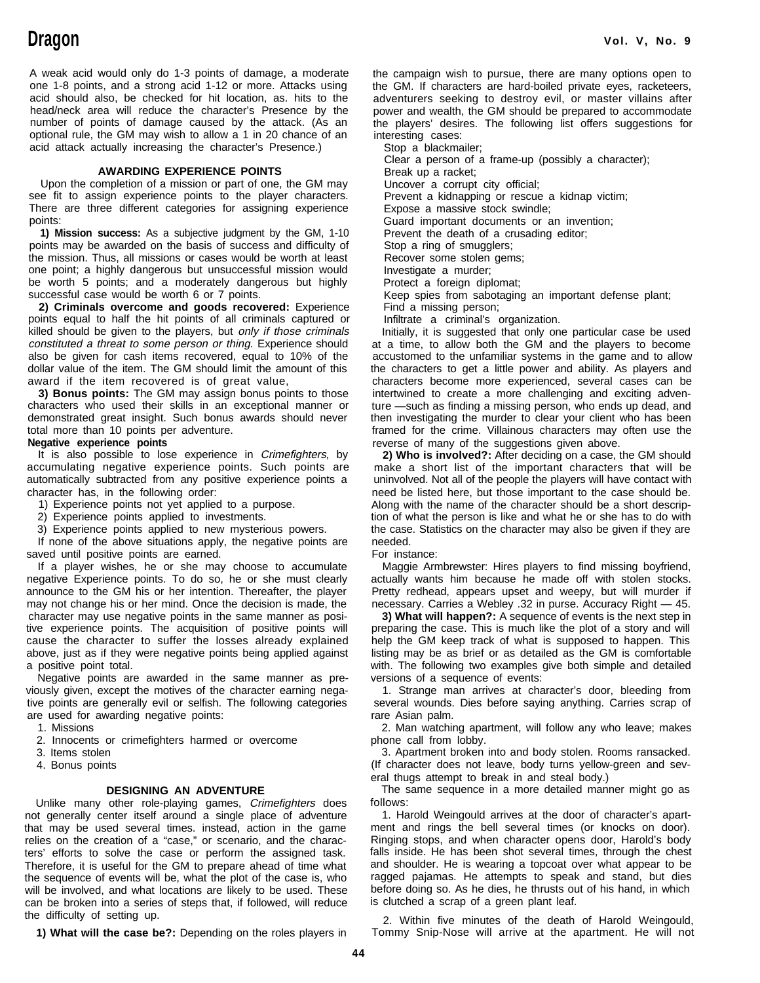A weak acid would only do 1-3 points of damage, a moderate one 1-8 points, and a strong acid 1-12 or more. Attacks using acid should also, be checked for hit location, as. hits to the head/neck area will reduce the character's Presence by the power and wealth, the GM should be prepared to accommodate number of points of damage caused by the attack. (As an the players' desires. The following list offers optional rule, the GM may wish to allow a 1 in 20 chance of an interesting cases: acid attack actually increasing the character's Presence.) Stop a blackmailer;

#### **AWARDING EXPERIENCE POINTS** Break up a racket;

Upon the completion of a mission or part of one, the GM may Uncover a corrupt city official; see fit to assign experience points to the player characters. There are three different categories for assigning experience points: Guard important documents or an invention;

**1) Mission success:** As a subjective judgment by the GM, 1-10 Prevent the death of a crusading editor; points may be awarded on the basis of success and difficulty of Stop a ring of smugglers; the mission. Thus, all missions or cases would be worth at least Recover some stolen gems; one point; a highly dangerous but unsuccessful mission would lnvestigate a murder;<br>be worth 5 points; and a moderately dangerous but highly Protect a foreign diplomat: be worth 5 points; and a moderately dangerous but highly successful case would be worth 6 or 7 points.

**2) Criminals overcome and goods recovered:** Experience points equal to half the hit points of all criminals captured or killed should be given to the players, but only if those criminals constituted a threat to some person or thing. Experience should also be given for cash items recovered, equal to 10% of the accustomed to the unfamiliar systems in the game and to allow dollar value of the item. The GM should limit the amount of this award if the item recovered is of great value,

**3) Bonus points:** The GM may assign bonus points to those characters who used their skills in an exceptional manner or ture —such as finding a missing person, who ends up dead, and demonstrated great insight. Such bonus awards should never then investigating the murder to clear your client who has been total more than 10 points per adventure. The state of the crime. Villainous characters may often use the

accumulating negative experience points. Such points are make a short list of the important characters that will be automatically subtracted from any positive experience points a uninvolved. Not all of the people the players will have contact with character has, in the following order:

1) Experience points not yet applied to a purpose.

2) Experience points applied to investments.

3) Experience points applied to new mysterious powers.

If none of the above situations apply, the negative points are saved until positive points are earned.

If a player wishes, he or she may choose to accumulate negative Experience points. To do so, he or she must clearly announce to the GM his or her intention. Thereafter, the player may not change his or her mind. Once the decision is made, the character may use negative points in the same manner as positive experience points. The acquisition of positive points will cause the character to suffer the losses already explained above, just as if they were negative points being applied against a positive point total.

Negative points are awarded in the same manner as previously given, except the motives of the character earning negative points are generally evil or selfish. The following categories are used for awarding negative points:

1. Missions

2. Innocents or crimefighters harmed or overcome

- 3. Items stolen
- 4. Bonus points

#### **DESIGNING AN ADVENTURE**

Unlike many other role-playing games, Crimefighters does not generally center itself around a single place of adventure that may be used several times. instead, action in the game relies on the creation of a "case," or scenario, and the characters' efforts to solve the case or perform the assigned task. Therefore, it is useful for the GM to prepare ahead of time what the sequence of events will be, what the plot of the case is, who will be involved, and what locations are likely to be used. These can be broken into a series of steps that, if followed, will reduce the difficulty of setting up.

**1) What will the case be?:** Depending on the roles players in

the campaign wish to pursue, there are many options open to the GM. If characters are hard-boiled private eyes, racketeers, adventurers seeking to destroy evil, or master villains after the players' desires. The following list offers suggestions for

Clear a person of a frame-up (possibly a character);

Prevent a kidnapping or rescue a kidnap victim;

Expose a massive stock swindle;

Keep spies from sabotaging an important defense plant; Find a missing person;

Infiltrate a criminal's organization.

Initially, it is suggested that only one particular case be used at a time, to allow both the GM and the players to become the characters to get a little power and ability. As players and characters become more experienced, several cases can be intertwined to create a more challenging and exciting adven-**Negative experience points** reverse of many of the suggestions given above.

It is also possible to lose experience in Crimefighters, by **2) Who is involved?:** After deciding on a case, the GM should need be listed here, but those important to the case should be. Along with the name of the character should be a short description of what the person is like and what he or she has to do with the case. Statistics on the character may also be given if they are needed.

For instance:

Maggie Armbrewster: Hires players to find missing boyfriend, actually wants him because he made off with stolen stocks. Pretty redhead, appears upset and weepy, but will murder if necessary. Carries a Webley .32 in purse. Accuracy Right — 45.

**3) What will happen?:** A sequence of events is the next step in preparing the case. This is much like the plot of a story and will help the GM keep track of what is supposed to happen. This listing may be as brief or as detailed as the GM is comfortable with. The following two examples give both simple and detailed versions of a sequence of events:

1. Strange man arrives at character's door, bleeding from several wounds. Dies before saying anything. Carries scrap of rare Asian palm.

2. Man watching apartment, will follow any who leave; makes phone call from lobby.

3. Apartment broken into and body stolen. Rooms ransacked. (If character does not leave, body turns yellow-green and several thugs attempt to break in and steal body.)

The same sequence in a more detailed manner might go as follows:

1. Harold Weingould arrives at the door of character's apartment and rings the bell several times (or knocks on door). Ringing stops, and when character opens door, Harold's body falls inside. He has been shot several times, through the chest and shoulder. He is wearing a topcoat over what appear to be ragged pajamas. He attempts to speak and stand, but dies before doing so. As he dies, he thrusts out of his hand, in which is clutched a scrap of a green plant leaf.

2. Within five minutes of the death of Harold Weingould, Tommy Snip-Nose will arrive at the apartment. He will not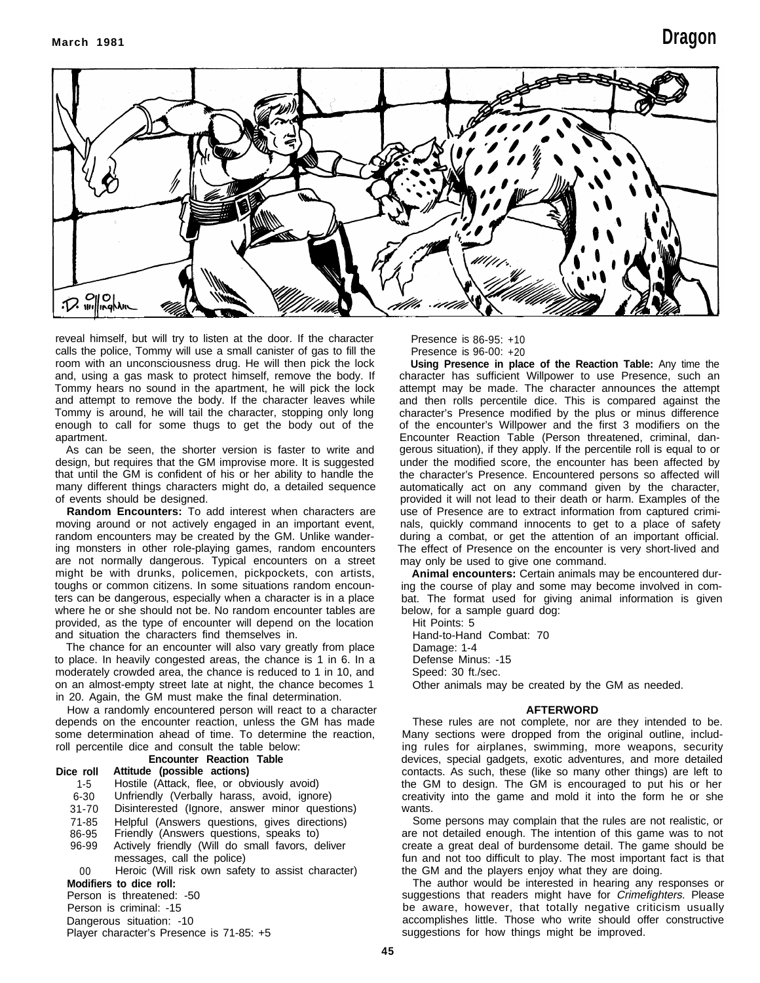

reveal himself, but will try to listen at the door. If the character calls the police, Tommy will use a small canister of gas to fill the room with an unconsciousness drug. He will then pick the lock and, using a gas mask to protect himself, remove the body. If Tommy hears no sound in the apartment, he will pick the lock and attempt to remove the body. If the character leaves while Tommy is around, he will tail the character, stopping only long enough to call for some thugs to get the body out of the apartment.

As can be seen, the shorter version is faster to write and design, but requires that the GM improvise more. It is suggested that until the GM is confident of his or her ability to handle the many different things characters might do, a detailed sequence of events should be designed.

**Random Encounters:** To add interest when characters are moving around or not actively engaged in an important event, random encounters may be created by the GM. Unlike wandering monsters in other role-playing games, random encounters are not normally dangerous. Typical encounters on a street might be with drunks, policemen, pickpockets, con artists, toughs or common citizens. In some situations random encounters can be dangerous, especially when a character is in a place where he or she should not be. No random encounter tables are provided, as the type of encounter will depend on the location and situation the characters find themselves in.

The chance for an encounter will also vary greatly from place to place. In heavily congested areas, the chance is 1 in 6. In a moderately crowded area, the chance is reduced to 1 in 10, and on an almost-empty street late at night, the chance becomes 1 in 20. Again, the GM must make the final determination.

How a randomly encountered person will react to a character depends on the encounter reaction, unless the GM has made some determination ahead of time. To determine the reaction, roll percentile dice and consult the table below:

## **Encounter Reaction Table**

## **Dice roll Attitude (possible actions)**

- 1-5 Hostile (Attack, flee, or obviously avoid)
- 6-30 Unfriendly (Verbally harass, avoid, ignore)
- Disinterested (Ignore, answer minor questions)
- 71-85 Helpful (Answers questions, gives directions)
- 86-95 Friendly (Answers questions, speaks to)
- Actively friendly (Will do small favors, deliver messages, call the police)

00 Heroic (Will risk own safety to assist character) **Modifiers to dice roll:**

Person is threatened: -50

Person is criminal: -15

Dangerous situation: -10

Player character's Presence is 71-85: +5

Presence is 86-95: +10 Presence is 96-00: +20

**Using Presence in place of the Reaction Table:** Any time the character has sufficient Willpower to use Presence, such an attempt may be made. The character announces the attempt and then rolls percentile dice. This is compared against the character's Presence modified by the plus or minus difference of the encounter's Willpower and the first 3 modifiers on the Encounter Reaction Table (Person threatened, criminal, dangerous situation), if they apply. If the percentile roll is equal to or under the modified score, the encounter has been affected by the character's Presence. Encountered persons so affected will automatically act on any command given by the character, provided it will not lead to their death or harm. Examples of the use of Presence are to extract information from captured criminals, quickly command innocents to get to a place of safety during a combat, or get the attention of an important official. The effect of Presence on the encounter is very short-lived and may only be used to give one command.

**Animal encounters:** Certain animals may be encountered during the course of play and some may become involved in combat. The format used for giving animal information is given below, for a sample guard dog:

Hit Points: 5 Hand-to-Hand Combat: 70 Damage: 1-4 Defense Minus: -15 Speed: 30 ft./sec. Other animals may be created by the GM as needed.

#### **AFTERWORD**

These rules are not complete, nor are they intended to be. Many sections were dropped from the original outline, including rules for airplanes, swimming, more weapons, security devices, special gadgets, exotic adventures, and more detailed contacts. As such, these (like so many other things) are left to the GM to design. The GM is encouraged to put his or her creativity into the game and mold it into the form he or she wants.

Some persons may complain that the rules are not realistic, or are not detailed enough. The intention of this game was to not create a great deal of burdensome detail. The game should be fun and not too difficult to play. The most important fact is that the GM and the players enjoy what they are doing.

The author would be interested in hearing any responses or suggestions that readers might have for Crimefighters. Please be aware, however, that totally negative criticism usually accomplishes little. Those who write should offer constructive suggestions for how things might be improved.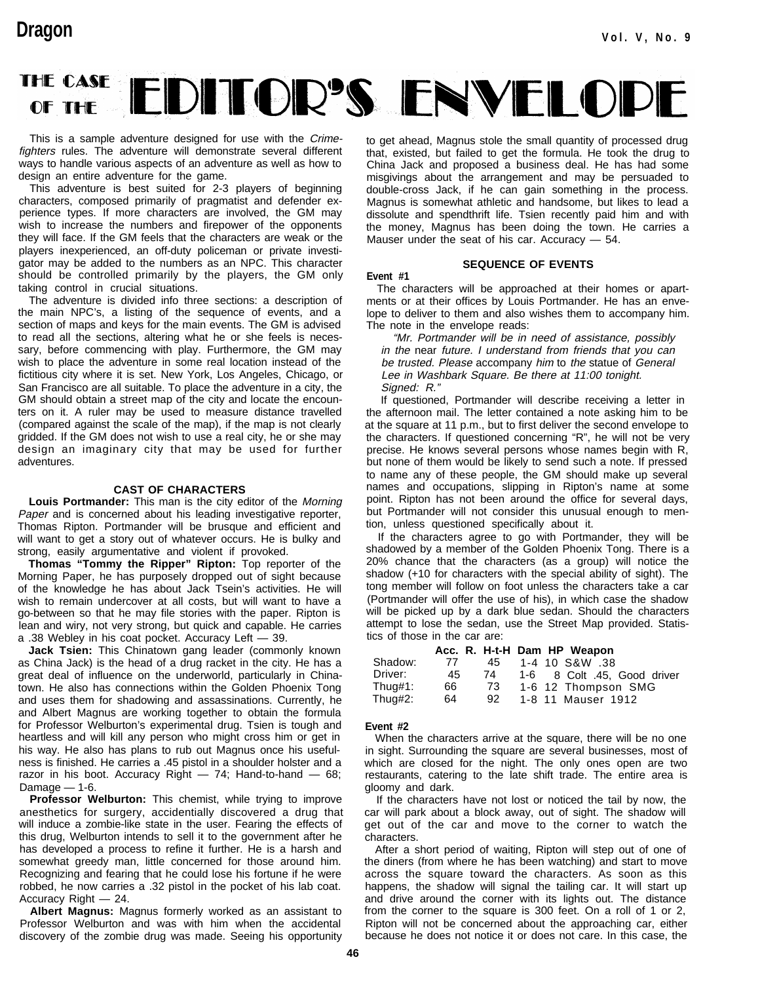## THE CASE EDITOR'S ENVELOPI OF THE

This is a sample adventure designed for use with the Crimefighters rules. The adventure will demonstrate several different ways to handle various aspects of an adventure as well as how to design an entire adventure for the game.

This adventure is best suited for 2-3 players of beginning characters, composed primarily of pragmatist and defender experience types. If more characters are involved, the GM may wish to increase the numbers and firepower of the opponents they will face. If the GM feels that the characters are weak or the players inexperienced, an off-duty policeman or private investigator may be added to the numbers as an NPC. This character should be controlled primarily by the players, the GM only taking control in crucial situations.

The adventure is divided info three sections: a description of the main NPC's, a listing of the sequence of events, and a section of maps and keys for the main events. The GM is advised to read all the sections, altering what he or she feels is necessary, before commencing with play. Furthermore, the GM may wish to place the adventure in some real location instead of the fictitious city where it is set. New York, Los Angeles, Chicago, or San Francisco are all suitable. To place the adventure in a city, the GM should obtain a street map of the city and locate the encounters on it. A ruler may be used to measure distance travelled (compared against the scale of the map), if the map is not clearly gridded. If the GM does not wish to use a real city, he or she may design an imaginary city that may be used for further adventures.

#### **CAST OF CHARACTERS**

**Louis Portmander:** This man is the city editor of the Morning Paper and is concerned about his leading investigative reporter, Thomas Ripton. Portmander will be brusque and efficient and will want to get a story out of whatever occurs. He is bulky and strong, easily argumentative and violent if provoked.

**Thomas "Tommy the Ripper" Ripton:** Top reporter of the Morning Paper, he has purposely dropped out of sight because of the knowledge he has about Jack Tsein's activities. He will wish to remain undercover at all costs, but will want to have a go-between so that he may file stories with the paper. Ripton is lean and wiry, not very strong, but quick and capable. He carries a .38 Webley in his coat pocket. Accuracy Left — 39.

**Jack Tsien:** This Chinatown gang leader (commonly known as China Jack) is the head of a drug racket in the city. He has a great deal of influence on the underworld, particularly in Chinatown. He also has connections within the Golden Phoenix Tong and uses them for shadowing and assassinations. Currently, he and Albert Magnus are working together to obtain the formula for Professor Welburton's experimental drug. Tsien is tough and heartless and will kill any person who might cross him or get in his way. He also has plans to rub out Magnus once his usefulness is finished. He carries a .45 pistol in a shoulder holster and a razor in his boot. Accuracy Right — 74; Hand-to-hand — 68; Damage  $-1$ -6.

**Professor Welburton:** This chemist, while trying to improve anesthetics for surgery, accidentially discovered a drug that will induce a zombie-like state in the user. Fearing the effects of this drug, Welburton intends to sell it to the government after he has developed a process to refine it further. He is a harsh and somewhat greedy man, little concerned for those around him. Recognizing and fearing that he could lose his fortune if he were robbed, he now carries a .32 pistol in the pocket of his lab coat. Accuracy Right — 24.

**Albert Magnus:** Magnus formerly worked as an assistant to Professor Welburton and was with him when the accidental discovery of the zombie drug was made. Seeing his opportunity to get ahead, Magnus stole the small quantity of processed drug that, existed, but failed to get the formula. He took the drug to China Jack and proposed a business deal. He has had some misgivings about the arrangement and may be persuaded to double-cross Jack, if he can gain something in the process. Magnus is somewhat athletic and handsome, but likes to lead a dissolute and spendthrift life. Tsien recently paid him and with the money, Magnus has been doing the town. He carries a Mauser under the seat of his car. Accuracy — 54.

#### **SEQUENCE OF EVENTS**

**Event #1** The characters will be approached at their homes or apartments or at their offices by Louis Portmander. He has an envelope to deliver to them and also wishes them to accompany him. The note in the envelope reads:

"Mr. Portmander will be in need of assistance, possibly in the near future. I understand from friends that you can be trusted. Please accompany him to the statue of General Lee in Washbark Square. Be there at 11:00 tonight. Signed: R."

If questioned, Portmander will describe receiving a letter in the afternoon mail. The letter contained a note asking him to be at the square at 11 p.m., but to first deliver the second envelope to the characters. If questioned concerning "R", he will not be very precise. He knows several persons whose names begin with R, but none of them would be likely to send such a note. If pressed to name any of these people, the GM should make up several names and occupations, slipping in Ripton's name at some point. Ripton has not been around the office for several days, but Portmander will not consider this unusual enough to mention, unless questioned specifically about it.

If the characters agree to go with Portmander, they will be shadowed by a member of the Golden Phoenix Tong. There is a 20% chance that the characters (as a group) will notice the shadow (+10 for characters with the special ability of sight). The tong member will follow on foot unless the characters take a car (Portmander will offer the use of his), in which case the shadow will be picked up by a dark blue sedan. Should the characters attempt to lose the sedan, use the Street Map provided. Statistics of those in the car are:

|          |    |     | Acc. R. H-t-H Dam HP Weapon |
|----------|----|-----|-----------------------------|
| Shadow:  | 77 | 45. | 1-4 10 S&W .38              |
| Driver:  | 45 | 74  | 1-6 8 Colt .45, Good driver |
| Thus, 1: | 66 | 73  | 1-6 12 Thompson SMG         |
| Thug#2:  | 64 | 92  | 1-8 11 Mauser 1912          |

#### **Event #2**

When the characters arrive at the square, there will be no one in sight. Surrounding the square are several businesses, most of which are closed for the night. The only ones open are two restaurants, catering to the late shift trade. The entire area is gloomy and dark.

If the characters have not lost or noticed the tail by now, the car will park about a block away, out of sight. The shadow will get out of the car and move to the corner to watch the characters.

After a short period of waiting, Ripton will step out of one of the diners (from where he has been watching) and start to move across the square toward the characters. As soon as this happens, the shadow will signal the tailing car. It will start up and drive around the corner with its lights out. The distance from the corner to the square is 300 feet. On a roll of 1 or 2, Ripton will not be concerned about the approaching car, either because he does not notice it or does not care. In this case, the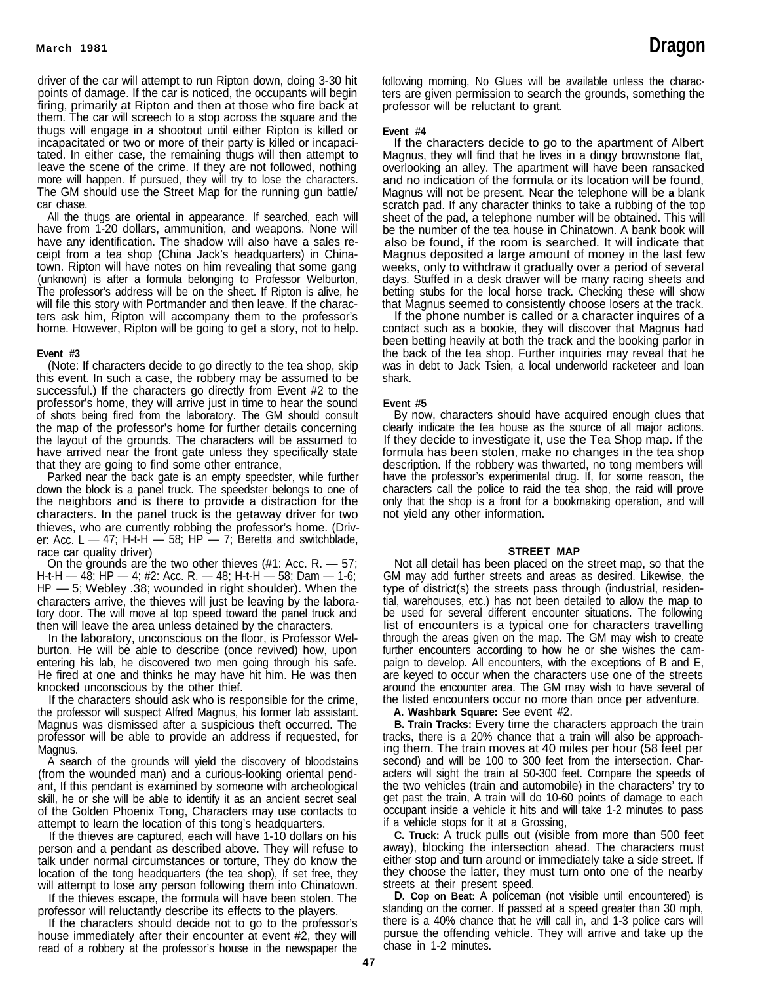driver of the car will attempt to run Ripton down, doing 3-30 hit points of damage. If the car is noticed, the occupants will begin firing, primarily at Ripton and then at those who fire back at them. The car will screech to a stop across the square and the thugs will engage in a shootout until either Ripton is killed or incapacitated or two or more of their party is killed or incapacitated. In either case, the remaining thugs will then attempt to leave the scene of the crime. If they are not followed, nothing more will happen. If pursued, they will try to lose the characters. The GM should use the Street Map for the running gun battle/ car chase.

All the thugs are oriental in appearance. If searched, each will have from 1-20 dollars, ammunition, and weapons. None will have any identification. The shadow will also have a sales receipt from a tea shop (China Jack's headquarters) in Chinatown. Ripton will have notes on him revealing that some gang (unknown) is after a formula belonging to Professor Welburton, The professor's address will be on the sheet. If Ripton is alive, he will file this story with Portmander and then leave. If the characters ask him, Ripton will accompany them to the professor's home. However, Ripton will be going to get a story, not to help.

#### **Event #3**

(Note: If characters decide to go directly to the tea shop, skip this event. In such a case, the robbery may be assumed to be successful.) If the characters go directly from Event #2 to the professor's home, they will arrive just in time to hear the sound of shots being fired from the laboratory. The GM should consult the map of the professor's home for further details concerning the layout of the grounds. The characters will be assumed to have arrived near the front gate unless they specifically state that they are going to find some other entrance,

Parked near the back gate is an empty speedster, while further down the block is a panel truck. The speedster belongs to one of the neighbors and is there to provide a distraction for the characters. In the panel truck is the getaway driver for two thieves, who are currently robbing the professor's home. (Driver: Acc. L  $-$  47; H-t-H  $-$  58; HP  $-$  7; Beretta and switchblade, race car quality driver)

On the grounds are the two other thieves  $(\#1: Acc. R. - 57;$ H-t-H — 48; HP — 4; #2: Acc. R. — 48; H-t-H — 58; Dam — 1-6; HP — 5; Webley .38; wounded in right shoulder). When the characters arrive, the thieves will just be leaving by the laboratory door. The will move at top speed toward the panel truck and then will leave the area unless detained by the characters.

In the laboratory, unconscious on the floor, is Professor Welburton. He will be able to describe (once revived) how, upon entering his lab, he discovered two men going through his safe. He fired at one and thinks he may have hit him. He was then knocked unconscious by the other thief.

If the characters should ask who is responsible for the crime, the professor will suspect Alfred Magnus, his former lab assistant. Magnus was dismissed after a suspicious theft occurred. The professor will be able to provide an address if requested, for Magnus.

A search of the grounds will yield the discovery of bloodstains (from the wounded man) and a curious-looking oriental pendant, If this pendant is examined by someone with archeological skill, he or she will be able to identify it as an ancient secret seal of the Golden Phoenix Tong, Characters may use contacts to attempt to learn the location of this tong's headquarters.

If the thieves are captured, each will have 1-10 dollars on his person and a pendant as described above. They will refuse to talk under normal circumstances or torture, They do know the location of the tong headquarters (the tea shop), If set free, they will attempt to lose any person following them into Chinatown.

If the thieves escape, the formula will have been stolen. The professor will reluctantly describe its effects to the players.

If the characters should decide not to go to the professor's house immediately after their encounter at event #2, they will read of a robbery at the professor's house in the newspaper the following morning, No Glues will be available unless the characters are given permission to search the grounds, something the professor will be reluctant to grant.

#### **Event #4**

If the characters decide to go to the apartment of Albert Magnus, they will find that he lives in a dingy brownstone flat, overlooking an alley. The apartment will have been ransacked and no indication of the formula or its location will be found, Magnus will not be present. Near the telephone will be **a** blank scratch pad. If any character thinks to take a rubbing of the top sheet of the pad, a telephone number will be obtained. This will be the number of the tea house in Chinatown. A bank book will also be found, if the room is searched. It will indicate that Magnus deposited a large amount of money in the last few weeks, only to withdraw it gradually over a period of several days. Stuffed in a desk drawer will be many racing sheets and betting stubs for the local horse track. Checking these will show that Magnus seemed to consistently choose losers at the track.

If the phone number is called or a character inquires of a contact such as a bookie, they will discover that Magnus had been betting heavily at both the track and the booking parlor in the back of the tea shop. Further inquiries may reveal that he was in debt to Jack Tsien, a local underworld racketeer and loan shark.

#### **Event #5**

By now, characters should have acquired enough clues that clearly indicate the tea house as the source of all major actions. If they decide to investigate it, use the Tea Shop map. If the formula has been stolen, make no changes in the tea shop description. If the robbery was thwarted, no tong members will have the professor's experimental drug. If, for some reason, the characters call the police to raid the tea shop, the raid will prove only that the shop is a front for a bookmaking operation, and will not yield any other information.

#### **STREET MAP**

Not all detail has been placed on the street map, so that the GM may add further streets and areas as desired. Likewise, the type of district(s) the streets pass through (industrial, residential, warehouses, etc.) has not been detailed to allow the map to be used for several different encounter situations. The following list of encounters is a typical one for characters travelling through the areas given on the map. The GM may wish to create further encounters according to how he or she wishes the campaign to develop. All encounters, with the exceptions of B and E, are keyed to occur when the characters use one of the streets around the encounter area. The GM may wish to have several of the listed encounters occur no more than once per adventure.

**A. Washbark Square:** See event #2.

**B. Train Tracks:** Every time the characters approach the train tracks, there is a 20% chance that a train will also be approaching them. The train moves at 40 miles per hour (58 feet per second) and will be 100 to 300 feet from the intersection. Characters will sight the train at 50-300 feet. Compare the speeds of the two vehicles (train and automobile) in the characters' try to get past the train, A train will do 10-60 points of damage to each occupant inside a vehicle it hits and will take 1-2 minutes to pass if a vehicle stops for it at a Grossing,

**C. Truck:** A truck pulls out (visible from more than 500 feet away), blocking the intersection ahead. The characters must either stop and turn around or immediately take a side street. If they choose the latter, they must turn onto one of the nearby streets at their present speed.

**D. Cop on Beat:** A policeman (not visible until encountered) is standing on the corner. If passed at a speed greater than 30 mph, there is a 40% chance that he will call in, and 1-3 police cars will pursue the offending vehicle. They will arrive and take up the chase in 1-2 minutes.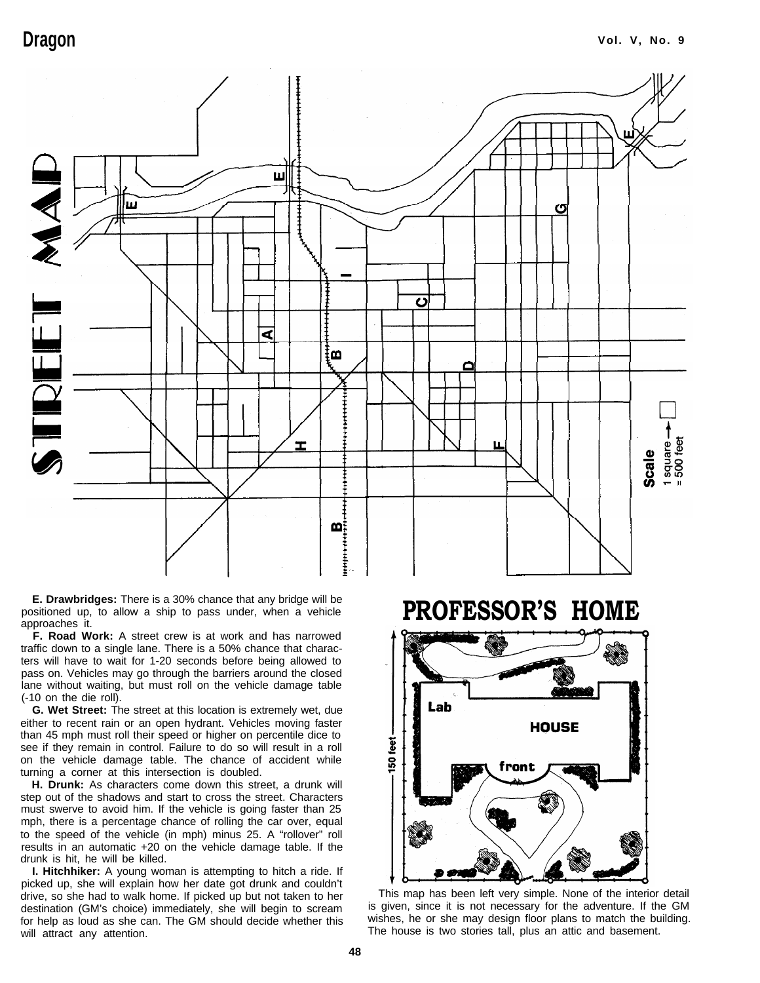

**E. Drawbridges:** There is a 30% chance that any bridge will be positioned up, to allow a ship to pass under, when a vehicle **PROFESSOR'S HOME** approaches it.

 **F. Road Work:** A street crew is at work and has narrowed traffic down to a single lane. There is a 50% chance that characters will have to wait for 1-20 seconds before being allowed to pass on. Vehicles may go through the barriers around the closed lane without waiting, but must roll on the vehicle damage table (-10 on the die roll).

**G. Wet Street:** The street at this location is extremely wet, due either to recent rain or an open hydrant. Vehicles moving faster than 45 mph must roll their speed or higher on percentile dice to see if they remain in control. Failure to do so will result in a roll on the vehicle damage table. The chance of accident while turning a corner at this intersection is doubled.

**H. Drunk:** As characters come down this street, a drunk will step out of the shadows and start to cross the street. Characters must swerve to avoid him. If the vehicle is going faster than 25 mph, there is a percentage chance of rolling the car over, equal to the speed of the vehicle (in mph) minus 25. A "rollover" roll results in an automatic +20 on the vehicle damage table. If the drunk is hit, he will be killed.

**I. Hitchhiker:** A young woman is attempting to hitch a ride. If picked up, she will explain how her date got drunk and couldn't drive, so she had to walk home. If picked up but not taken to her This map has been left very simple. None of the interior detail<br>destination (GM's choice) immediately she will begin to scream is given, since it is not nec destination (GM's choice) immediately, she will begin to scream for help as loud as she can. The GM should decide whether this wishes, he or she may design floor plans to match the building.

Lab **HOUSE** g  $\overline{50}$ front

The house is two stories tall, plus an attic and basement.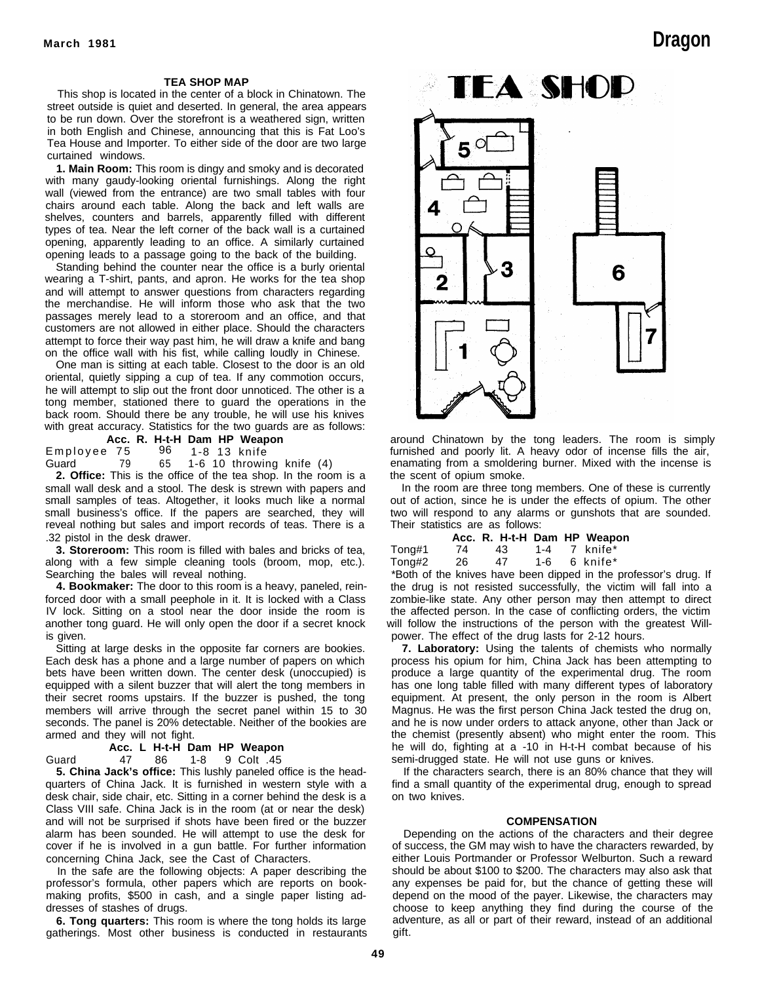#### **TEA SHOP MAP**

This shop is located in the center of a block in Chinatown. The street outside is quiet and deserted. In general, the area appears to be run down. Over the storefront is a weathered sign, written in both English and Chinese, announcing that this is Fat Loo's Tea House and Importer. To either side of the door are two large curtained windows.

**1. Main Room:** This room is dingy and smoky and is decorated with many gaudy-looking oriental furnishings. Along the right wall (viewed from the entrance) are two small tables with four chairs around each table. Along the back and left walls are shelves, counters and barrels, apparently filled with different types of tea. Near the left corner of the back wall is a curtained opening, apparently leading to an office. A similarly curtained opening leads to a passage going to the back of the building.

Standing behind the counter near the office is a burly oriental wearing a T-shirt, pants, and apron. He works for the tea shop and will attempt to answer questions from characters regarding the merchandise. He will inform those who ask that the two passages merely lead to a storeroom and an office, and that customers are not allowed in either place. Should the characters attempt to force their way past him, he will draw a knife and bang on the office wall with his fist, while calling loudly in Chinese.

One man is sitting at each table. Closest to the door is an old oriental, quietly sipping a cup of tea. If any commotion occurs, he will attempt to slip out the front door unnoticed. The other is a tong member, stationed there to guard the operations in the back room. Should there be any trouble, he will use his knives with great accuracy. Statistics for the two guards are as follows:

**Acc. R. H-t-H Dam HP Weapon** Employee 75

Guard 79 65 1-6 10 throwing knife (4)

**2. Office:** This is the office of the tea shop. In the room is a

small wall desk and a stool. The desk is strewn with papers and small samples of teas. Altogether, it looks much like a normal small business's office. If the papers are searched, they will reveal nothing but sales and import records of teas. There is a .32 pistol in the desk drawer.

**3. Storeroom:** This room is filled with bales and bricks of tea, along with a few simple cleaning tools (broom, mop, etc.). Searching the bales will reveal nothing.

**4. Bookmaker:** The door to this room is a heavy, paneled, reinforced door with a small peephole in it. It is locked with a Class IV lock. Sitting on a stool near the door inside the room is another tong guard. He will only open the door if a secret knock is given.

Sitting at large desks in the opposite far corners are bookies. Each desk has a phone and a large number of papers on which bets have been written down. The center desk (unoccupied) is equipped with a silent buzzer that will alert the tong members in their secret rooms upstairs. If the buzzer is pushed, the tong members will arrive through the secret panel within 15 to 30 seconds. The panel is 20% detectable. Neither of the bookies are armed and they will not fight.

**Acc. L H-t-H Dam HP Weapon**

Guard 47 86 1-8 9 Colt .45

**5. China Jack's office:** This lushly paneled office is the headquarters of China Jack. It is furnished in western style with a desk chair, side chair, etc. Sitting in a corner behind the desk is a Class VIII safe. China Jack is in the room (at or near the desk) and will not be surprised if shots have been fired or the buzzer alarm has been sounded. He will attempt to use the desk for cover if he is involved in a gun battle. For further information concerning China Jack, see the Cast of Characters.

In the safe are the following objects: A paper describing the professor's formula, other papers which are reports on bookmaking profits, \$500 in cash, and a single paper listing addresses of stashes of drugs.

**6. Tong quarters:** This room is where the tong holds its large gatherings. Most other business is conducted in restaurants

# **March 1981 Dragon**



around Chinatown by the tong leaders. The room is simply furnished and poorly lit. A heavy odor of incense fills the air, enamating from a smoldering burner. Mixed with the incense is the scent of opium smoke.

In the room are three tong members. One of these is currently out of action, since he is under the effects of opium. The other two will respond to any alarms or gunshots that are sounded. Their statistics are as follows:

|        |    | Acc. R. H-t-H Dam HP Weapon |     |              |
|--------|----|-----------------------------|-----|--------------|
| Tong#1 | 74 | 43.                         |     | 1-4 7 knife* |
| Tong#2 | 26 | 47                          | 1-6 | 6 knife*     |

\*Both of the knives have been dipped in the professor's drug. If the drug is not resisted successfully, the victim will fall into a zombie-like state. Any other person may then attempt to direct the affected person. In the case of conflicting orders, the victim will follow the instructions of the person with the greatest Willpower. The effect of the drug lasts for 2-12 hours.

**7. Laboratory:** Using the talents of chemists who normally process his opium for him, China Jack has been attempting to produce a large quantity of the experimental drug. The room has one long table filled with many different types of laboratory equipment. At present, the only person in the room is Albert Magnus. He was the first person China Jack tested the drug on, and he is now under orders to attack anyone, other than Jack or the chemist (presently absent) who might enter the room. This he will do, fighting at a -10 in H-t-H combat because of his semi-drugged state. He will not use guns or knives.

If the characters search, there is an 80% chance that they will find a small quantity of the experimental drug, enough to spread on two knives.

#### **COMPENSATION**

Depending on the actions of the characters and their degree of success, the GM may wish to have the characters rewarded, by either Louis Portmander or Professor Welburton. Such a reward should be about \$100 to \$200. The characters may also ask that any expenses be paid for, but the chance of getting these will depend on the mood of the payer. Likewise, the characters may choose to keep anything they find during the course of the adventure, as all or part of their reward, instead of an additional gift.